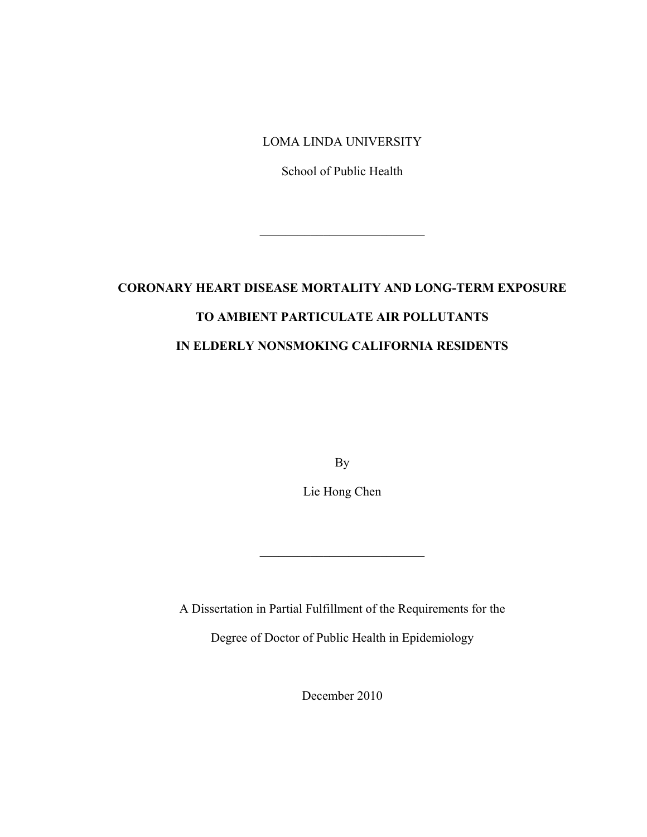# LOMA LINDA UNIVERSITY

School of Public Health

 $\mathcal{L}_\text{max}$  , where  $\mathcal{L}_\text{max}$  and  $\mathcal{L}_\text{max}$ 

# **CORONARY HEART DISEASE MORTALITY AND LONG-TERM EXPOSURE TO AMBIENT PARTICULATE AIR POLLUTANTS IN ELDERLY NONSMOKING CALIFORNIA RESIDENTS**

By

Lie Hong Chen

\_\_\_\_\_\_\_\_\_\_\_\_\_\_\_\_\_\_\_\_\_\_\_\_\_\_

A Dissertation in Partial Fulfillment of the Requirements for the

Degree of Doctor of Public Health in Epidemiology

December 2010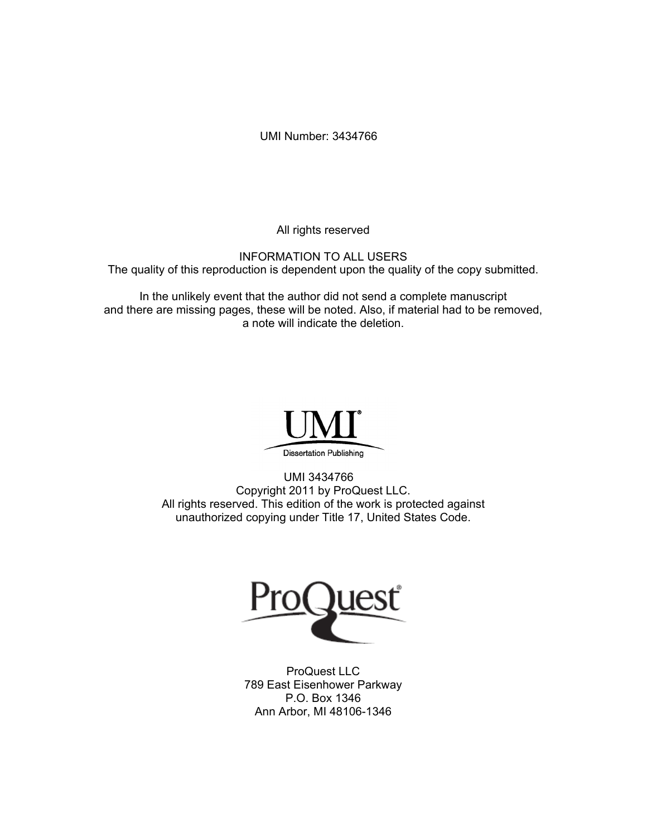UMI Number: 3434766

All rights reserved

INFORMATION TO ALL USERS The quality of this reproduction is dependent upon the quality of the copy submitted.

In the unlikely event that the author did not send a complete manuscript and there are missing pages, these will be noted. Also, if material had to be removed, a note will indicate the deletion.



UMI 3434766 Copyright 2011 by ProQuest LLC. All rights reserved. This edition of the work is protected against unauthorized copying under Title 17, United States Code.



ProQuest LLC 789 East Eisenhower Parkway P.O. Box 1346 Ann Arbor, MI 48106-1346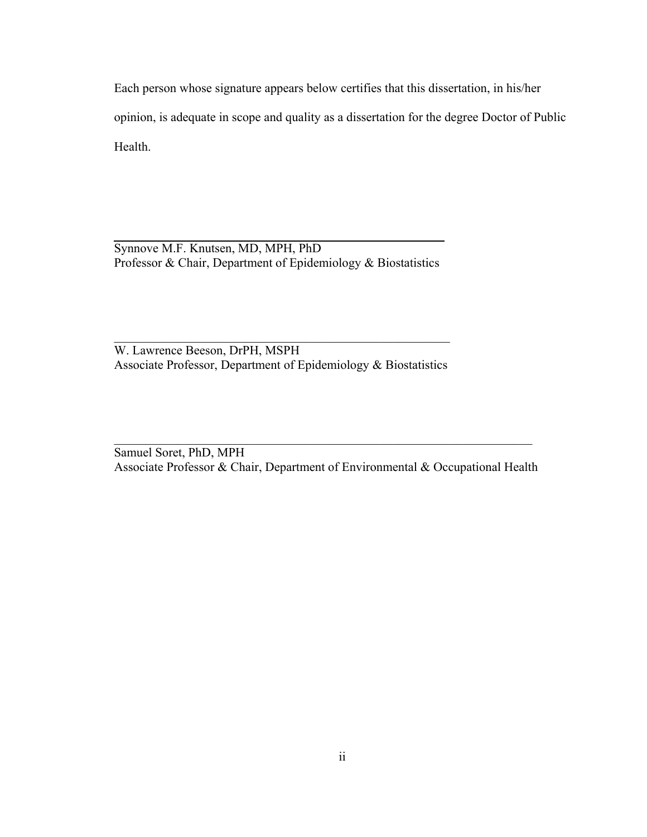Each person whose signature appears below certifies that this dissertation, in his/her opinion, is adequate in scope and quality as a dissertation for the degree Doctor of Public Health.

Synnove M.F. Knutsen, MD, MPH, PhD Professor & Chair, Department of Epidemiology & Biostatistics

W. Lawrence Beeson, DrPH, MSPH Associate Professor, Department of Epidemiology & Biostatistics

 $\mathcal{L}_\text{max}$  , and the contract of the contract of the contract of the contract of the contract of the contract of the contract of the contract of the contract of the contract of the contract of the contract of the contr

Samuel Soret, PhD, MPH Associate Professor & Chair, Department of Environmental & Occupational Health

 $\mathcal{L}_\mathcal{L} = \mathcal{L}_\mathcal{L} = \mathcal{L}_\mathcal{L} = \mathcal{L}_\mathcal{L} = \mathcal{L}_\mathcal{L} = \mathcal{L}_\mathcal{L} = \mathcal{L}_\mathcal{L} = \mathcal{L}_\mathcal{L} = \mathcal{L}_\mathcal{L} = \mathcal{L}_\mathcal{L} = \mathcal{L}_\mathcal{L} = \mathcal{L}_\mathcal{L} = \mathcal{L}_\mathcal{L} = \mathcal{L}_\mathcal{L} = \mathcal{L}_\mathcal{L} = \mathcal{L}_\mathcal{L} = \mathcal{L}_\mathcal{L}$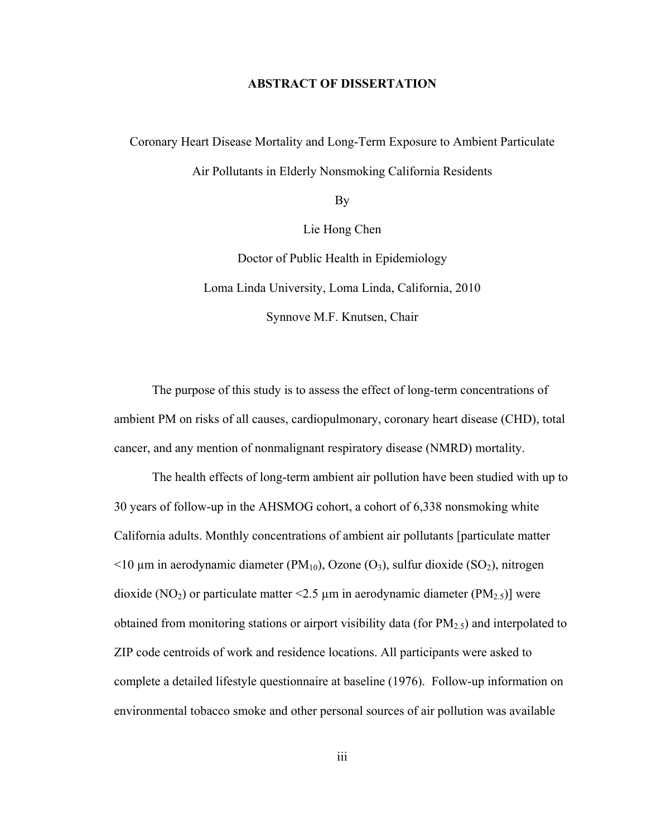# **ABSTRACT OF DISSERTATION**

Coronary Heart Disease Mortality and Long-Term Exposure to Ambient Particulate Air Pollutants in Elderly Nonsmoking California Residents

By

Lie Hong Chen

Doctor of Public Health in Epidemiology Loma Linda University, Loma Linda, California, 2010 Synnove M.F. Knutsen, Chair

The purpose of this study is to assess the effect of long-term concentrations of ambient PM on risks of all causes, cardiopulmonary, coronary heart disease (CHD), total cancer, and any mention of nonmalignant respiratory disease (NMRD) mortality.

The health effects of long-term ambient air pollution have been studied with up to 30 years of follow-up in the AHSMOG cohort, a cohort of 6,338 nonsmoking white California adults. Monthly concentrations of ambient air pollutants [particulate matter  $\leq$ 10 µm in aerodynamic diameter (PM<sub>10</sub>), Ozone (O<sub>3</sub>), sulfur dioxide (SO<sub>2</sub>), nitrogen dioxide (NO<sub>2</sub>) or particulate matter <2.5 µm in aerodynamic diameter (PM<sub>2.5</sub>)] were obtained from monitoring stations or airport visibility data (for  $PM_{2.5}$ ) and interpolated to ZIP code centroids of work and residence locations. All participants were asked to complete a detailed lifestyle questionnaire at baseline (1976). Follow-up information on environmental tobacco smoke and other personal sources of air pollution was available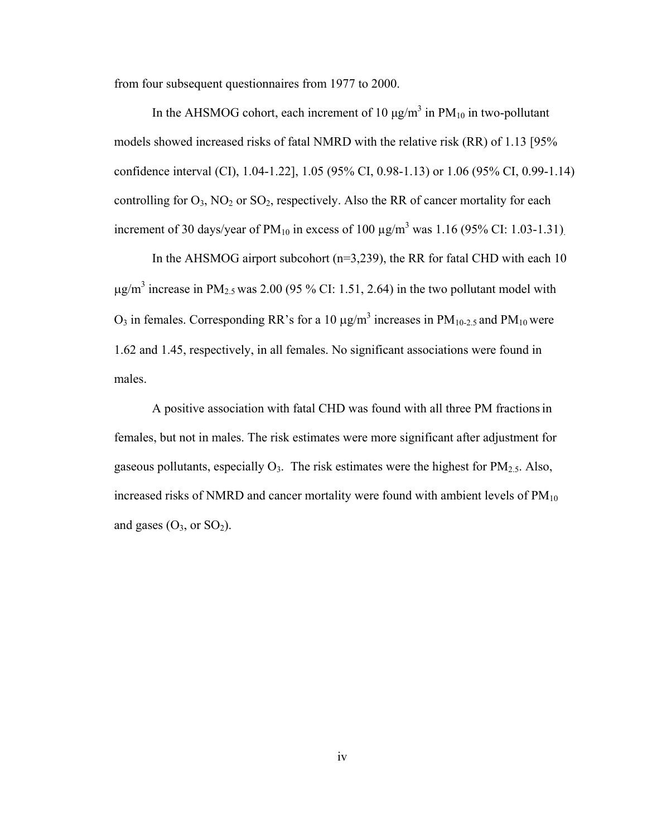from four subsequent questionnaires from 1977 to 2000.

In the AHSMOG cohort, each increment of 10  $\mu$ g/m<sup>3</sup> in PM<sub>10</sub> in two-pollutant models showed increased risks of fatal NMRD with the relative risk (RR) of 1.13 [95% confidence interval (CI), 1.04-1.22], 1.05 (95% CI, 0.98-1.13) or 1.06 (95% CI, 0.99-1.14) controlling for  $O_3$ ,  $NO_2$  or  $SO_2$ , respectively. Also the RR of cancer mortality for each increment of 30 days/year of PM<sub>10</sub> in excess of 100  $\mu$ g/m<sup>3</sup> was 1.16 (95% CI: 1.03-1.31).

In the AHSMOG airport subcohort ( $n=3,239$ ), the RR for fatal CHD with each 10  $\mu$ g/m<sup>3</sup> increase in PM<sub>2.5</sub> was 2.00 (95 % CI: 1.51, 2.64) in the two pollutant model with O<sub>3</sub> in females. Corresponding RR's for a 10 μg/m<sup>3</sup> increases in  $PM<sub>10-2.5</sub>$  and  $PM<sub>10</sub>$  were 1.62 and 1.45, respectively, in all females. No significant associations were found in males.

A positive association with fatal CHD was found with all three PM fractionsin females, but not in males. The risk estimates were more significant after adjustment for gaseous pollutants, especially  $O_3$ . The risk estimates were the highest for PM<sub>2.5</sub>. Also, increased risks of NMRD and cancer mortality were found with ambient levels of  $PM_{10}$ and gases  $(O_3, or SO_2)$ .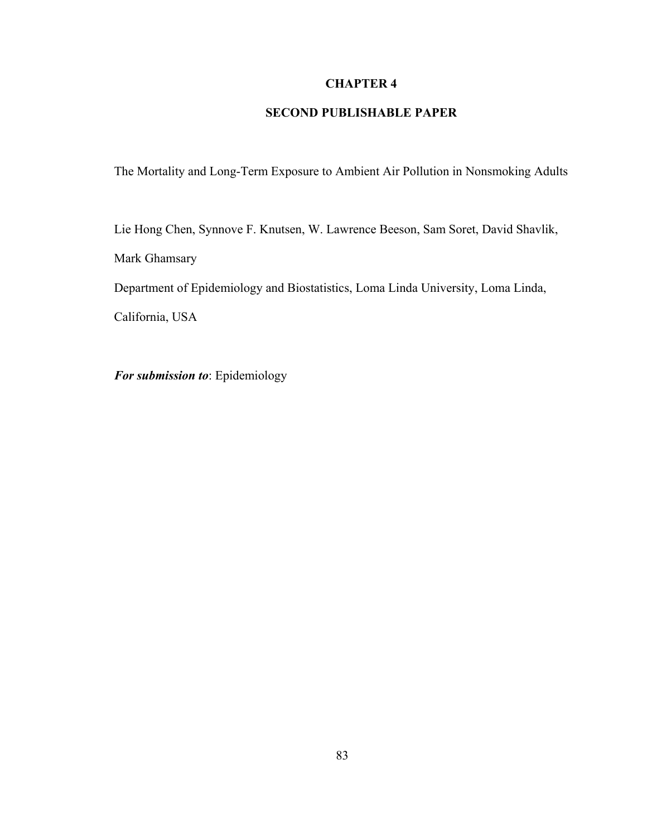# **CHAPTER 4**

# **SECOND PUBLISHABLE PAPER**

The Mortality and Long-Term Exposure to Ambient Air Pollution in Nonsmoking Adults

Lie Hong Chen, Synnove F. Knutsen, W. Lawrence Beeson, Sam Soret, David Shavlik, Mark Ghamsary Department of Epidemiology and Biostatistics, Loma Linda University, Loma Linda,

California, USA

*For submission to*: Epidemiology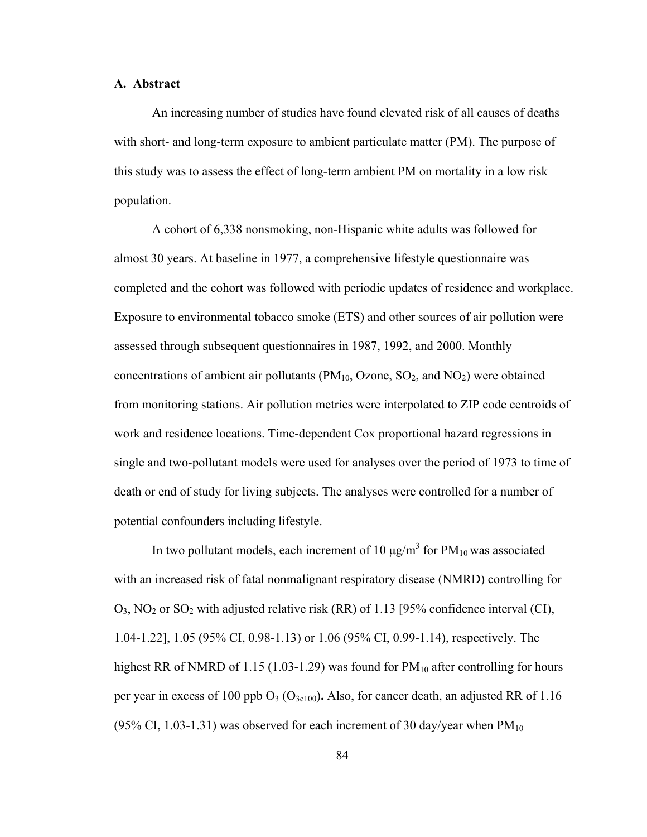# **A. Abstract**

An increasing number of studies have found elevated risk of all causes of deaths with short- and long-term exposure to ambient particulate matter (PM). The purpose of this study was to assess the effect of long-term ambient PM on mortality in a low risk population.

A cohort of 6,338 nonsmoking, non-Hispanic white adults was followed for almost 30 years. At baseline in 1977, a comprehensive lifestyle questionnaire was completed and the cohort was followed with periodic updates of residence and workplace. Exposure to environmental tobacco smoke (ETS) and other sources of air pollution were assessed through subsequent questionnaires in 1987, 1992, and 2000. Monthly concentrations of ambient air pollutants ( $PM_{10}$ , Ozone,  $SO_2$ , and  $NO_2$ ) were obtained from monitoring stations. Air pollution metrics were interpolated to ZIP code centroids of work and residence locations. Time-dependent Cox proportional hazard regressions in single and two-pollutant models were used for analyses over the period of 1973 to time of death or end of study for living subjects. The analyses were controlled for a number of potential confounders including lifestyle.

In two pollutant models, each increment of 10  $\mu$ g/m<sup>3</sup> for PM<sub>10</sub> was associated with an increased risk of fatal nonmalignant respiratory disease (NMRD) controlling for  $O_3$ , NO<sub>2</sub> or SO<sub>2</sub> with adjusted relative risk (RR) of 1.13 [95% confidence interval (CI), 1.04-1.22], 1.05 (95% CI, 0.98-1.13) or 1.06 (95% CI, 0.99-1.14), respectively. The highest RR of NMRD of 1.15 (1.03-1.29) was found for  $PM_{10}$  after controlling for hours per year in excess of 100 ppb  $O_3$  ( $O_{3e100}$ ). Also, for cancer death, an adjusted RR of 1.16 (95% CI, 1.03-1.31) was observed for each increment of 30 day/year when  $PM_{10}$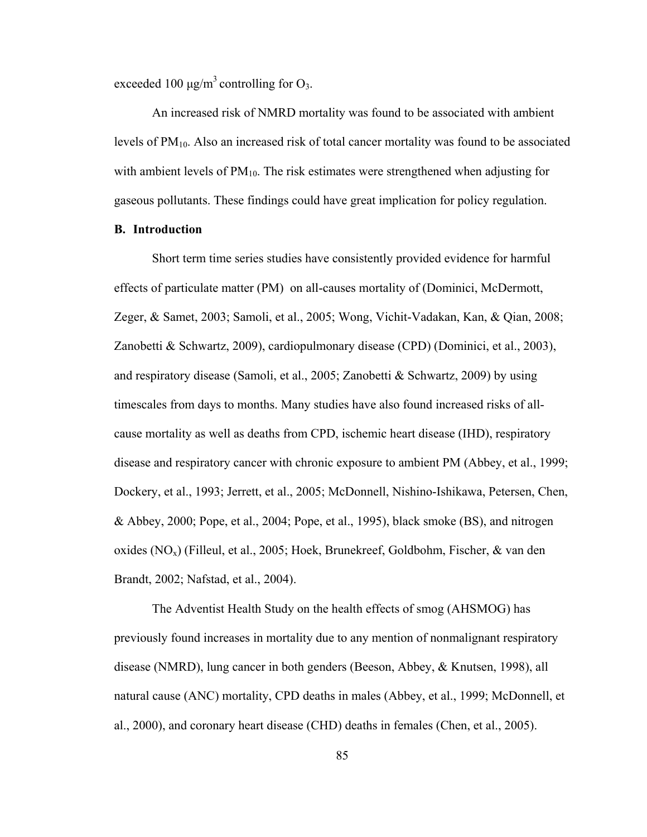exceeded 100  $\mu$ g/m<sup>3</sup> controlling for O<sub>3</sub>.

An increased risk of NMRD mortality was found to be associated with ambient levels of  $PM_{10}$ . Also an increased risk of total cancer mortality was found to be associated with ambient levels of  $PM_{10}$ . The risk estimates were strengthened when adjusting for gaseous pollutants. These findings could have great implication for policy regulation.

# **B. Introduction**

Short term time series studies have consistently provided evidence for harmful effects of particulate matter (PM) on all-causes mortality of (Dominici, McDermott, Zeger, & Samet, 2003; Samoli, et al., 2005; Wong, Vichit-Vadakan, Kan, & Qian, 2008; Zanobetti & Schwartz, 2009), cardiopulmonary disease (CPD) (Dominici, et al., 2003), and respiratory disease (Samoli, et al., 2005; Zanobetti & Schwartz, 2009) by using timescales from days to months. Many studies have also found increased risks of allcause mortality as well as deaths from CPD, ischemic heart disease (IHD), respiratory disease and respiratory cancer with chronic exposure to ambient PM (Abbey, et al., 1999; Dockery, et al., 1993; Jerrett, et al., 2005; McDonnell, Nishino-Ishikawa, Petersen, Chen, & Abbey, 2000; Pope, et al., 2004; Pope, et al., 1995), black smoke (BS), and nitrogen oxides ( $NO_x$ ) (Filleul, et al., 2005; Hoek, Brunekreef, Goldbohm, Fischer, & van den Brandt, 2002; Nafstad, et al., 2004).

The Adventist Health Study on the health effects of smog (AHSMOG) has previously found increases in mortality due to any mention of nonmalignant respiratory disease (NMRD), lung cancer in both genders (Beeson, Abbey, & Knutsen, 1998), all natural cause (ANC) mortality, CPD deaths in males (Abbey, et al., 1999; McDonnell, et al., 2000), and coronary heart disease (CHD) deaths in females (Chen, et al., 2005).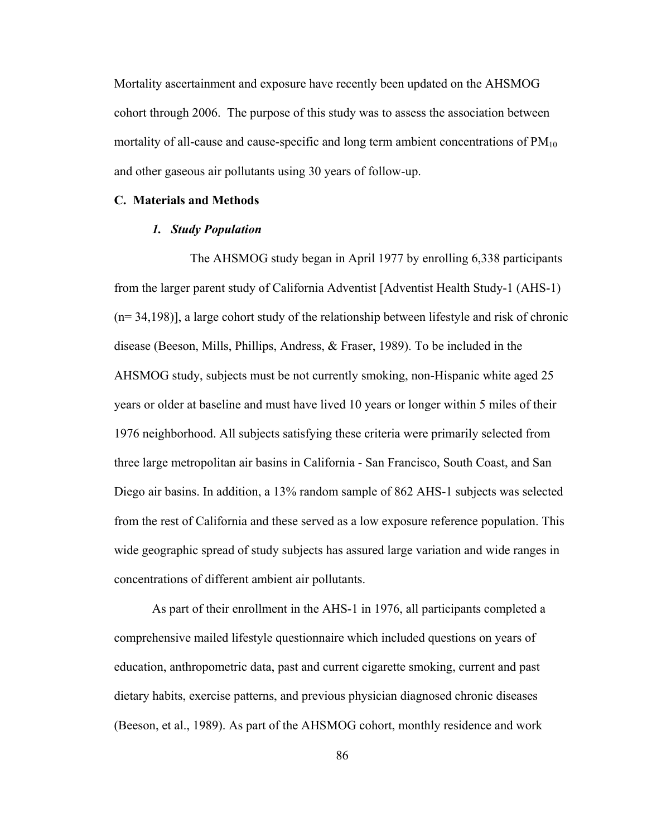Mortality ascertainment and exposure have recently been updated on the AHSMOG cohort through 2006. The purpose of this study was to assess the association between mortality of all-cause and cause-specific and long term ambient concentrations of PM<sub>10</sub> and other gaseous air pollutants using 30 years of follow-up.

#### **C. Materials and Methods**

# *1. Study Population*

The AHSMOG study began in April 1977 by enrolling 6,338 participants from the larger parent study of California Adventist [Adventist Health Study-1 (AHS-1) (n= 34,198)], a large cohort study of the relationship between lifestyle and risk of chronic disease (Beeson, Mills, Phillips, Andress, & Fraser, 1989). To be included in the AHSMOG study, subjects must be not currently smoking, non-Hispanic white aged 25 years or older at baseline and must have lived 10 years or longer within 5 miles of their 1976 neighborhood. All subjects satisfying these criteria were primarily selected from three large metropolitan air basins in California - San Francisco, South Coast, and San Diego air basins. In addition, a 13% random sample of 862 AHS-1 subjects was selected from the rest of California and these served as a low exposure reference population. This wide geographic spread of study subjects has assured large variation and wide ranges in concentrations of different ambient air pollutants.

As part of their enrollment in the AHS-1 in 1976, all participants completed a comprehensive mailed lifestyle questionnaire which included questions on years of education, anthropometric data, past and current cigarette smoking, current and past dietary habits, exercise patterns, and previous physician diagnosed chronic diseases (Beeson, et al., 1989). As part of the AHSMOG cohort, monthly residence and work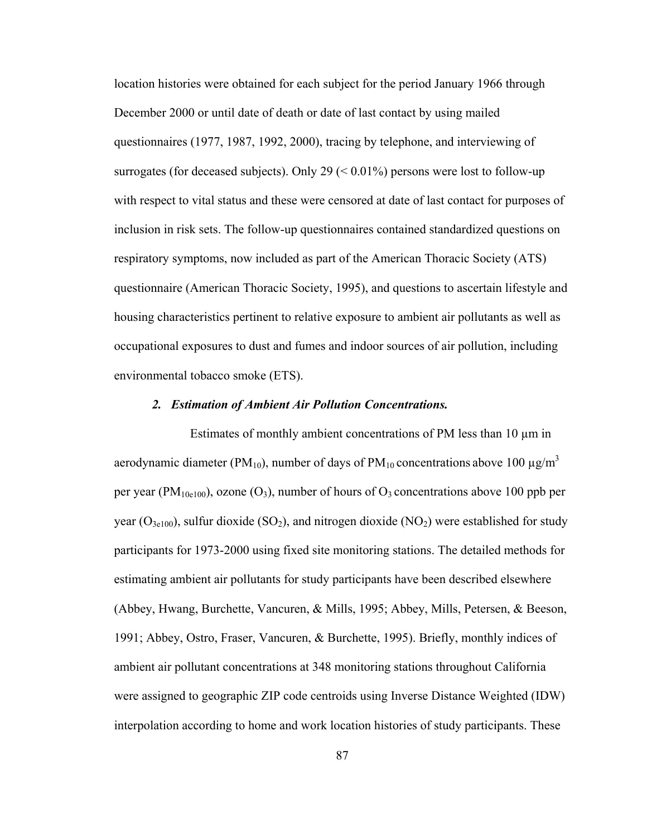location histories were obtained for each subject for the period January 1966 through December 2000 or until date of death or date of last contact by using mailed questionnaires (1977, 1987, 1992, 2000), tracing by telephone, and interviewing of surrogates (for deceased subjects). Only 29  $(< 0.01\%)$  persons were lost to follow-up with respect to vital status and these were censored at date of last contact for purposes of inclusion in risk sets. The follow-up questionnaires contained standardized questions on respiratory symptoms, now included as part of the American Thoracic Society (ATS) questionnaire (American Thoracic Society, 1995), and questions to ascertain lifestyle and housing characteristics pertinent to relative exposure to ambient air pollutants as well as occupational exposures to dust and fumes and indoor sources of air pollution, including environmental tobacco smoke (ETS).

#### *2. Estimation of Ambient Air Pollution Concentrations.*

Estimates of monthly ambient concentrations of PM less than 10 µm in aerodynamic diameter (PM<sub>10</sub>), number of days of PM<sub>10</sub> concentrations above 100  $\mu$ g/m<sup>3</sup> per year (PM<sub>10e100</sub>), ozone (O<sub>3</sub>), number of hours of O<sub>3</sub> concentrations above 100 ppb per year  $(O_{3e100})$ , sulfur dioxide  $(SO_2)$ , and nitrogen dioxide  $(NO_2)$  were established for study participants for 1973-2000 using fixed site monitoring stations. The detailed methods for estimating ambient air pollutants for study participants have been described elsewhere (Abbey, Hwang, Burchette, Vancuren, & Mills, 1995; Abbey, Mills, Petersen, & Beeson, 1991; Abbey, Ostro, Fraser, Vancuren, & Burchette, 1995). Briefly, monthly indices of ambient air pollutant concentrations at 348 monitoring stations throughout California were assigned to geographic ZIP code centroids using Inverse Distance Weighted (IDW) interpolation according to home and work location histories of study participants. These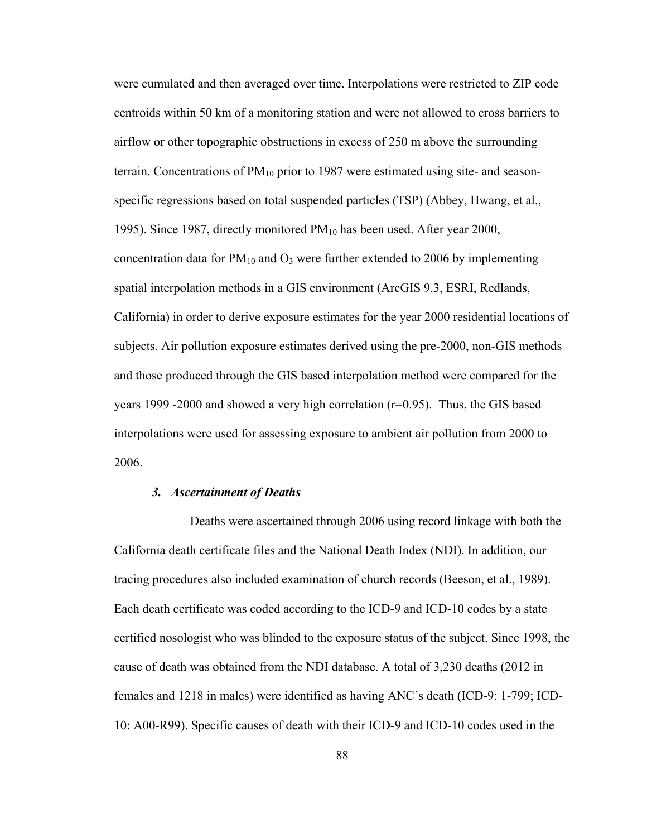were cumulated and then averaged over time. Interpolations were restricted to ZIP code centroids within 50 km of a monitoring station and were not allowed to cross barriers to airflow or other topographic obstructions in excess of 250 m above the surrounding terrain. Concentrations of  $PM_{10}$  prior to 1987 were estimated using site- and seasonspecific regressions based on total suspended particles (TSP) (Abbey, Hwang, et al., 1995). Since 1987, directly monitored  $PM_{10}$  has been used. After year 2000, concentration data for  $PM_{10}$  and  $O_3$  were further extended to 2006 by implementing spatial interpolation methods in a GIS environment (ArcGIS 9.3, ESRI, Redlands, California) in order to derive exposure estimates for the year 2000 residential locations of subjects. Air pollution exposure estimates derived using the pre-2000, non-GIS methods and those produced through the GIS based interpolation method were compared for the years 1999 -2000 and showed a very high correlation  $(r=0.95)$ . Thus, the GIS based interpolations were used for assessing exposure to ambient air pollution from 2000 to 2006.

#### *3. Ascertainment of Deaths*

Deaths were ascertained through 2006 using record linkage with both the California death certificate files and the National Death Index (NDI). In addition, our tracing procedures also included examination of church records (Beeson, et al., 1989). Each death certificate was coded according to the ICD-9 and ICD-10 codes by a state certified nosologist who was blinded to the exposure status of the subject. Since 1998, the cause of death was obtained from the NDI database. A total of 3,230 deaths (2012 in females and 1218 in males) were identified as having ANC's death (ICD-9: 1-799; ICD-10: A00-R99). Specific causes of death with their ICD-9 and ICD-10 codes used in the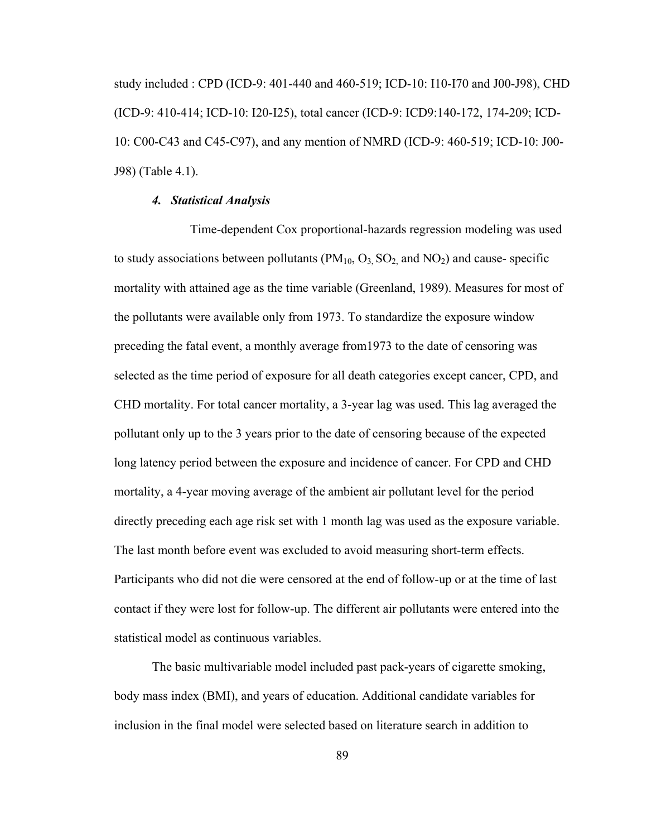study included : CPD (ICD-9: 401-440 and 460-519; ICD-10: I10-I70 and J00-J98), CHD (ICD-9: 410-414; ICD-10: I20-I25), total cancer (ICD-9: ICD9:140-172, 174-209; ICD-10: C00-C43 and C45-C97), and any mention of NMRD (ICD-9: 460-519; ICD-10: J00- J98) (Table 4.1).

### *4. Statistical Analysis*

Time-dependent Cox proportional-hazards regression modeling was used to study associations between pollutants  $(PM_{10}, O_3, SO_2)$  and  $NO_2)$  and cause-specific mortality with attained age as the time variable (Greenland, 1989). Measures for most of the pollutants were available only from 1973. To standardize the exposure window preceding the fatal event, a monthly average from1973 to the date of censoring was selected as the time period of exposure for all death categories except cancer, CPD, and CHD mortality. For total cancer mortality, a 3-year lag was used. This lag averaged the pollutant only up to the 3 years prior to the date of censoring because of the expected long latency period between the exposure and incidence of cancer. For CPD and CHD mortality, a 4-year moving average of the ambient air pollutant level for the period directly preceding each age risk set with 1 month lag was used as the exposure variable. The last month before event was excluded to avoid measuring short-term effects. Participants who did not die were censored at the end of follow-up or at the time of last contact if they were lost for follow-up. The different air pollutants were entered into the statistical model as continuous variables.

The basic multivariable model included past pack-years of cigarette smoking, body mass index (BMI), and years of education. Additional candidate variables for inclusion in the final model were selected based on literature search in addition to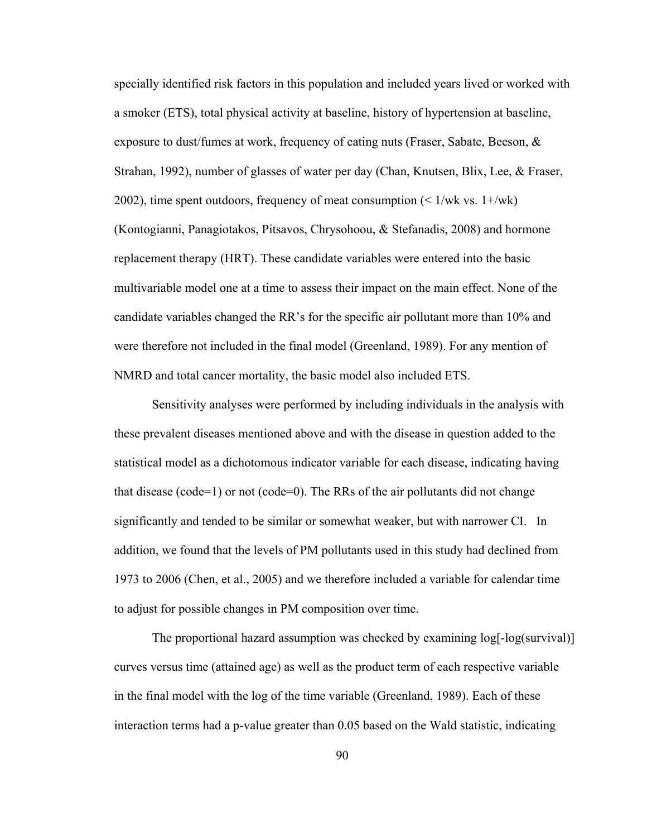specially identified risk factors in this population and included years lived or worked with a smoker (ETS), total physical activity at baseline, history of hypertension at baseline, exposure to dust/fumes at work, frequency of eating nuts (Fraser, Sabate, Beeson, & Strahan, 1992), number of glasses of water per day (Chan, Knutsen, Blix, Lee, & Fraser, 2002), time spent outdoors, frequency of meat consumption  $\leq 1/wk$  vs.  $1+\langle wk \rangle$ (Kontogianni, Panagiotakos, Pitsavos, Chrysohoou, & Stefanadis, 2008) and hormone replacement therapy (HRT). These candidate variables were entered into the basic multivariable model one at a time to assess their impact on the main effect. None of the candidate variables changed the RR's for the specific air pollutant more than 10% and were therefore not included in the final model (Greenland, 1989). For any mention of NMRD and total cancer mortality, the basic model also included ETS.

Sensitivity analyses were performed by including individuals in the analysis with these prevalent diseases mentioned above and with the disease in question added to the statistical model as a dichotomous indicator variable for each disease, indicating having that disease (code=1) or not (code=0). The RRs of the air pollutants did not change significantly and tended to be similar or somewhat weaker, but with narrower CI. In addition, we found that the levels of PM pollutants used in this study had declined from 1973 to 2006 (Chen, et al., 2005) and we therefore included a variable for calendar time to adjust for possible changes in PM composition over time.

The proportional hazard assumption was checked by examining log[-log(survival)] curves versus time (attained age) as well as the product term of each respective variable in the final model with the log of the time variable (Greenland, 1989). Each of these interaction terms had a p-value greater than 0.05 based on the Wald statistic, indicating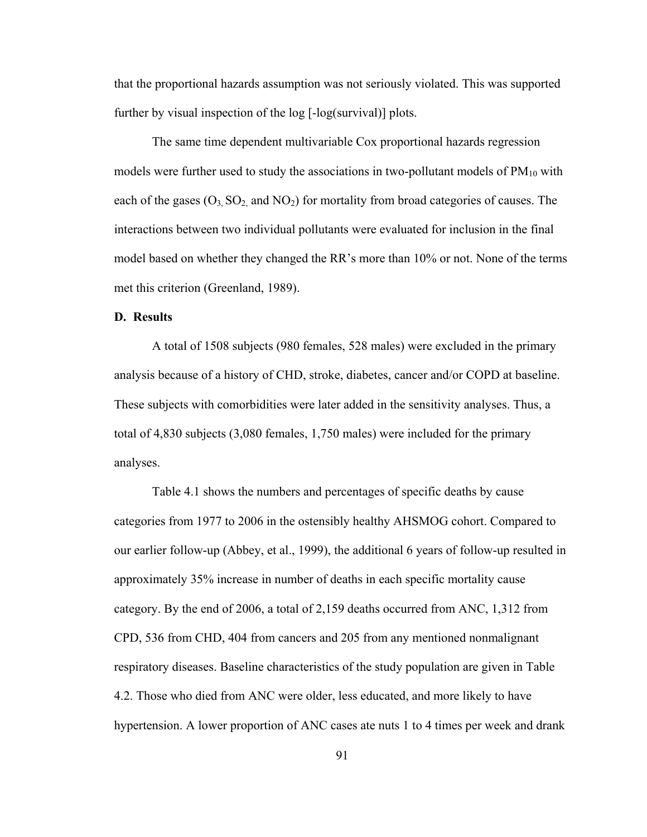that the proportional hazards assumption was not seriously violated. This was supported further by visual inspection of the log [-log(survival)] plots.

The same time dependent multivariable Cox proportional hazards regression models were further used to study the associations in two-pollutant models of  $PM_{10}$  with each of the gases  $(O_3, SO_2, and NO_2)$  for mortality from broad categories of causes. The interactions between two individual pollutants were evaluated for inclusion in the final model based on whether they changed the RR's more than 10% or not. None of the terms met this criterion (Greenland, 1989).

## **D. Results**

A total of 1508 subjects (980 females, 528 males) were excluded in the primary analysis because of a history of CHD, stroke, diabetes, cancer and/or COPD at baseline. These subjects with comorbidities were later added in the sensitivity analyses. Thus, a total of 4,830 subjects (3,080 females, 1,750 males) were included for the primary analyses.

Table 4.1 shows the numbers and percentages of specific deaths by cause categories from 1977 to 2006 in the ostensibly healthy AHSMOG cohort. Compared to our earlier follow-up (Abbey, et al., 1999), the additional 6 years of follow-up resulted in approximately 35% increase in number of deaths in each specific mortality cause category. By the end of 2006, a total of 2,159 deaths occurred from ANC, 1,312 from CPD, 536 from CHD, 404 from cancers and 205 from any mentioned nonmalignant respiratory diseases. Baseline characteristics of the study population are given in Table 4.2. Those who died from ANC were older, less educated, and more likely to have hypertension. A lower proportion of ANC cases ate nuts 1 to 4 times per week and drank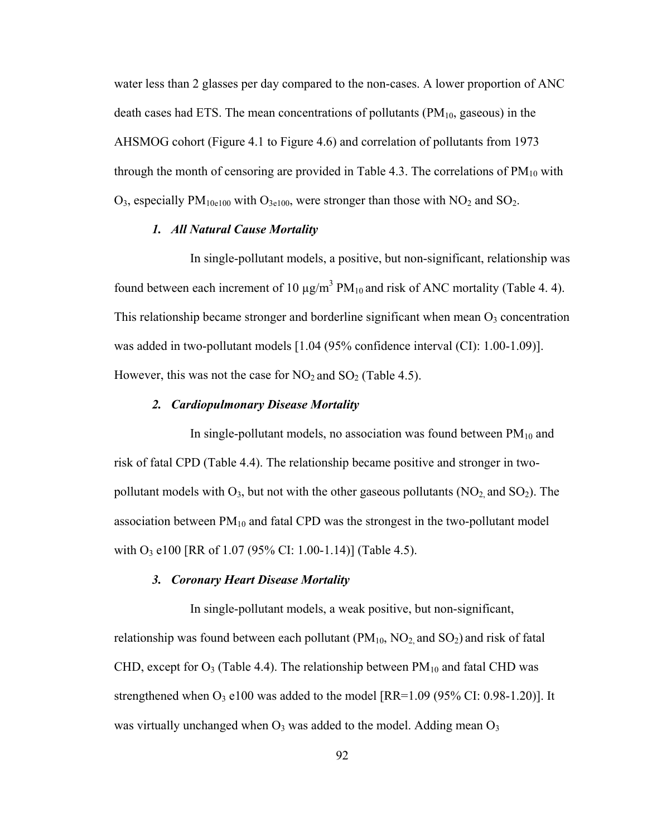water less than 2 glasses per day compared to the non-cases. A lower proportion of ANC death cases had ETS. The mean concentrations of pollutants  $(PM_{10}$ , gaseous) in the AHSMOG cohort (Figure 4.1 to Figure 4.6) and correlation of pollutants from 1973 through the month of censoring are provided in Table 4.3. The correlations of  $PM_{10}$  with  $O_3$ , especially PM<sub>10e100</sub> with  $O_{3e100}$ , were stronger than those with NO<sub>2</sub> and SO<sub>2</sub>.

## *1. All Natural Cause Mortality*

In single-pollutant models, a positive, but non-significant, relationship was found between each increment of 10  $\mu$ g/m<sup>3</sup> PM<sub>10</sub> and risk of ANC mortality (Table 4. 4). This relationship became stronger and borderline significant when mean  $O_3$  concentration was added in two-pollutant models [1.04 (95% confidence interval (CI): 1.00-1.09)]. However, this was not the case for  $NO_2$  and  $SO_2$  (Table 4.5).

#### *2. Cardiopulmonary Disease Mortality*

In single-pollutant models, no association was found between  $PM_{10}$  and risk of fatal CPD (Table 4.4). The relationship became positive and stronger in twopollutant models with  $O_3$ , but not with the other gaseous pollutants (NO<sub>2</sub>, and SO<sub>2</sub>). The association between  $PM_{10}$  and fatal CPD was the strongest in the two-pollutant model with O<sub>3</sub> e100 [RR of 1.07 (95% CI: 1.00-1.14)] (Table 4.5).

#### *3. Coronary Heart Disease Mortality*

In single-pollutant models, a weak positive, but non-significant, relationship was found between each pollutant  $(PM_{10}$ ,  $NO<sub>2</sub>$  and  $SO<sub>2</sub>$ ) and risk of fatal CHD, except for  $O_3$  (Table 4.4). The relationship between  $PM_{10}$  and fatal CHD was strengthened when  $O_3$  e100 was added to the model [RR=1.09 (95% CI: 0.98-1.20)]. It was virtually unchanged when  $O_3$  was added to the model. Adding mean  $O_3$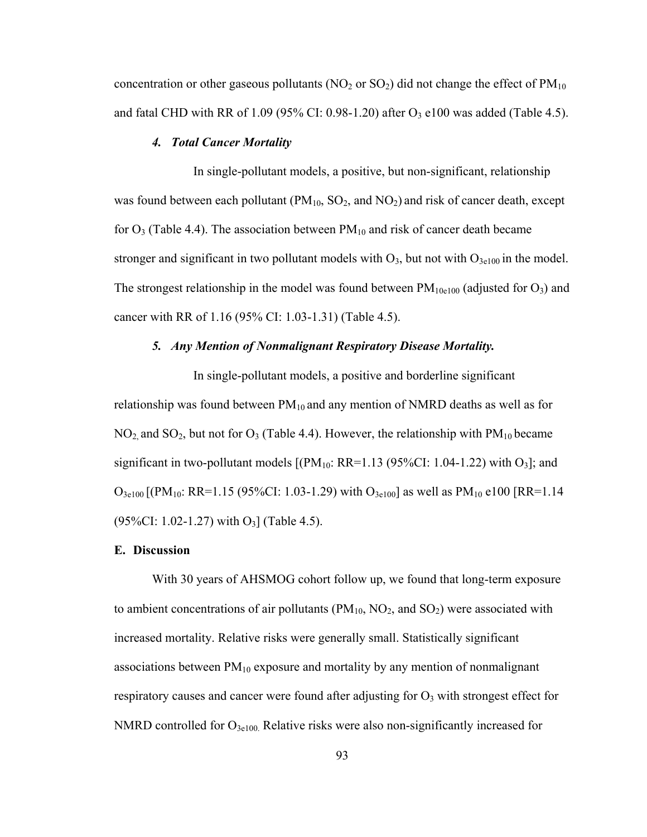concentration or other gaseous pollutants ( $NO<sub>2</sub>$  or  $SO<sub>2</sub>$ ) did not change the effect of  $PM<sub>10</sub>$ and fatal CHD with RR of  $1.09$  (95% CI: 0.98-1.20) after O<sub>3</sub> e100 was added (Table 4.5).

## *4. Total Cancer Mortality*

 In single-pollutant models, a positive, but non-significant, relationship was found between each pollutant ( $PM_{10}$ ,  $SO_2$ , and  $NO_2$ ) and risk of cancer death, except for  $O_3$  (Table 4.4). The association between  $PM_{10}$  and risk of cancer death became stronger and significant in two pollutant models with  $O_3$ , but not with  $O_{3e100}$  in the model. The strongest relationship in the model was found between  $PM_{10e100}$  (adjusted for O<sub>3</sub>) and cancer with RR of 1.16 (95% CI: 1.03-1.31) (Table 4.5).

# *5. Any Mention of Nonmalignant Respiratory Disease Mortality.*

 In single-pollutant models, a positive and borderline significant relationship was found between  $PM_{10}$  and any mention of NMRD deaths as well as for  $NO<sub>2</sub>$  and  $SO<sub>2</sub>$ , but not for  $O<sub>3</sub>$  (Table 4.4). However, the relationship with  $PM<sub>10</sub>$  became significant in two-pollutant models  $[(PM_{10}: RR=1.13 (95\% CI: 1.04-1.22)$  with  $O_3]$ ; and  $O_{3e100}$  [(PM<sub>10</sub>: RR=1.15 (95%CI: 1.03-1.29) with  $O_{3e100}$  as well as PM<sub>10</sub> e100 [RR=1.14]  $(95\%CI: 1.02-1.27)$  with O<sub>3</sub>] (Table 4.5).

#### **E. Discussion**

With 30 years of AHSMOG cohort follow up, we found that long-term exposure to ambient concentrations of air pollutants ( $PM_{10}$ ,  $NO_2$ , and  $SO_2$ ) were associated with increased mortality. Relative risks were generally small. Statistically significant associations between  $PM_{10}$  exposure and mortality by any mention of nonmalignant respiratory causes and cancer were found after adjusting for  $O<sub>3</sub>$  with strongest effect for NMRD controlled for  $O_{3e100}$ . Relative risks were also non-significantly increased for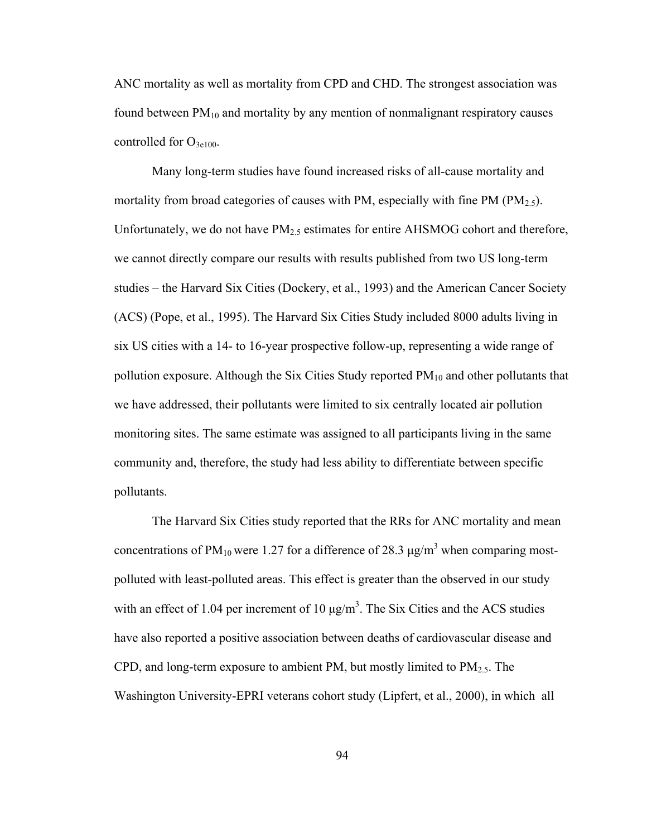ANC mortality as well as mortality from CPD and CHD. The strongest association was found between  $PM_{10}$  and mortality by any mention of nonmalignant respiratory causes controlled for  $O_{3e100}$ .

Many long-term studies have found increased risks of all-cause mortality and mortality from broad categories of causes with PM, especially with fine PM ( $PM<sub>2.5</sub>$ ). Unfortunately, we do not have  $PM_{2.5}$  estimates for entire AHSMOG cohort and therefore, we cannot directly compare our results with results published from two US long-term studies – the Harvard Six Cities (Dockery, et al., 1993) and the American Cancer Society (ACS) (Pope, et al., 1995). The Harvard Six Cities Study included 8000 adults living in six US cities with a 14- to 16-year prospective follow-up, representing a wide range of pollution exposure. Although the Six Cities Study reported  $PM_{10}$  and other pollutants that we have addressed, their pollutants were limited to six centrally located air pollution monitoring sites. The same estimate was assigned to all participants living in the same community and, therefore, the study had less ability to differentiate between specific pollutants.

The Harvard Six Cities study reported that the RRs for ANC mortality and mean concentrations of PM<sub>10</sub> were 1.27 for a difference of 28.3  $\mu$ g/m<sup>3</sup> when comparing mostpolluted with least-polluted areas. This effect is greater than the observed in our study with an effect of 1.04 per increment of 10  $\mu$ g/m<sup>3</sup>. The Six Cities and the ACS studies have also reported a positive association between deaths of cardiovascular disease and CPD, and long-term exposure to ambient PM, but mostly limited to  $PM_{2.5}$ . The Washington University-EPRI veterans cohort study (Lipfert, et al., 2000), in which all

94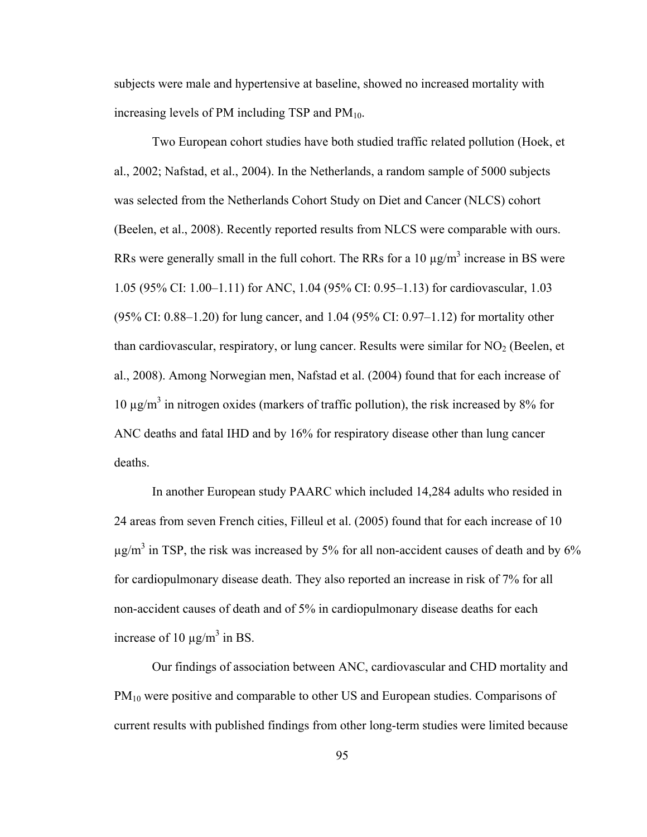subjects were male and hypertensive at baseline, showed no increased mortality with increasing levels of PM including TSP and  $PM_{10}$ .

Two European cohort studies have both studied traffic related pollution (Hoek, et al., 2002; Nafstad, et al., 2004). In the Netherlands, a random sample of 5000 subjects was selected from the Netherlands Cohort Study on Diet and Cancer (NLCS) cohort (Beelen, et al., 2008). Recently reported results from NLCS were comparable with ours. RRs were generally small in the full cohort. The RRs for a 10  $\mu$ g/m<sup>3</sup> increase in BS were 1.05 (95% CI: 1.00–1.11) for ANC, 1.04 (95% CI: 0.95–1.13) for cardiovascular, 1.03 (95% CI: 0.88–1.20) for lung cancer, and 1.04 (95% CI: 0.97–1.12) for mortality other than cardiovascular, respiratory, or lung cancer. Results were similar for  $NO<sub>2</sub>$  (Beelen, et al., 2008). Among Norwegian men, Nafstad et al. (2004) found that for each increase of 10  $\mu$ g/m<sup>3</sup> in nitrogen oxides (markers of traffic pollution), the risk increased by 8% for ANC deaths and fatal IHD and by 16% for respiratory disease other than lung cancer deaths.

In another European study PAARC which included 14,284 adults who resided in 24 areas from seven French cities, Filleul et al. (2005) found that for each increase of 10  $\mu$ g/m<sup>3</sup> in TSP, the risk was increased by 5% for all non-accident causes of death and by 6% for cardiopulmonary disease death. They also reported an increase in risk of 7% for all non-accident causes of death and of 5% in cardiopulmonary disease deaths for each increase of 10  $\mu$ g/m<sup>3</sup> in BS.

Our findings of association between ANC, cardiovascular and CHD mortality and  $PM_{10}$  were positive and comparable to other US and European studies. Comparisons of current results with published findings from other long-term studies were limited because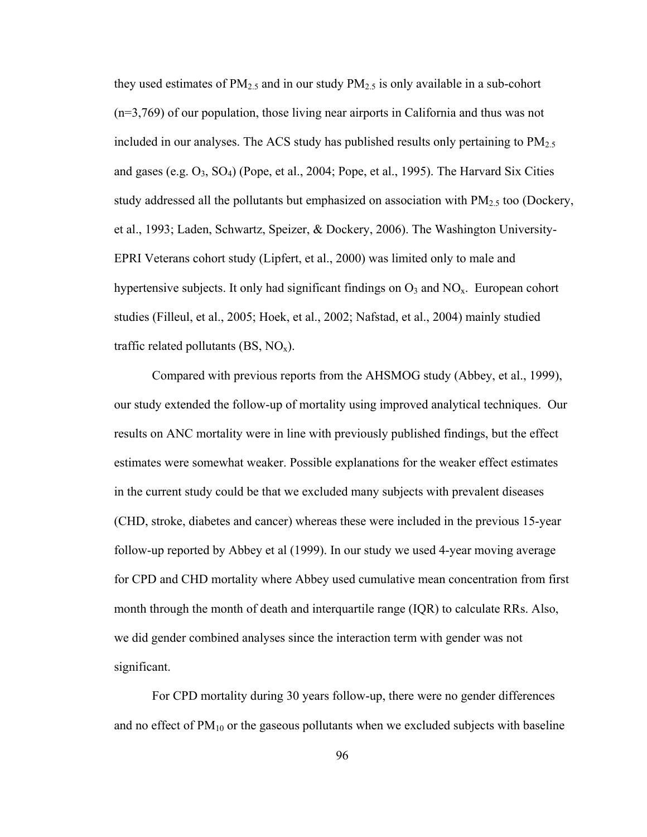they used estimates of  $PM_{2.5}$  and in our study  $PM_{2.5}$  is only available in a sub-cohort (n=3,769) of our population, those living near airports in California and thus was not included in our analyses. The ACS study has published results only pertaining to  $PM_{2.5}$ and gases (e.g.  $O_3$ ,  $SO_4$ ) (Pope, et al., 2004; Pope, et al., 1995). The Harvard Six Cities study addressed all the pollutants but emphasized on association with  $PM_{2.5}$  too (Dockery, et al., 1993; Laden, Schwartz, Speizer, & Dockery, 2006). The Washington University-EPRI Veterans cohort study (Lipfert, et al., 2000) was limited only to male and hypertensive subjects. It only had significant findings on  $O_3$  and  $NO_x$ . European cohort studies (Filleul, et al., 2005; Hoek, et al., 2002; Nafstad, et al., 2004) mainly studied traffic related pollutants  $(BS, NO_x)$ .

Compared with previous reports from the AHSMOG study (Abbey, et al., 1999), our study extended the follow-up of mortality using improved analytical techniques. Our results on ANC mortality were in line with previously published findings, but the effect estimates were somewhat weaker. Possible explanations for the weaker effect estimates in the current study could be that we excluded many subjects with prevalent diseases (CHD, stroke, diabetes and cancer) whereas these were included in the previous 15-year follow-up reported by Abbey et al (1999). In our study we used 4-year moving average for CPD and CHD mortality where Abbey used cumulative mean concentration from first month through the month of death and interquartile range (IQR) to calculate RRs. Also, we did gender combined analyses since the interaction term with gender was not significant.

For CPD mortality during 30 years follow-up, there were no gender differences and no effect of  $PM_{10}$  or the gaseous pollutants when we excluded subjects with baseline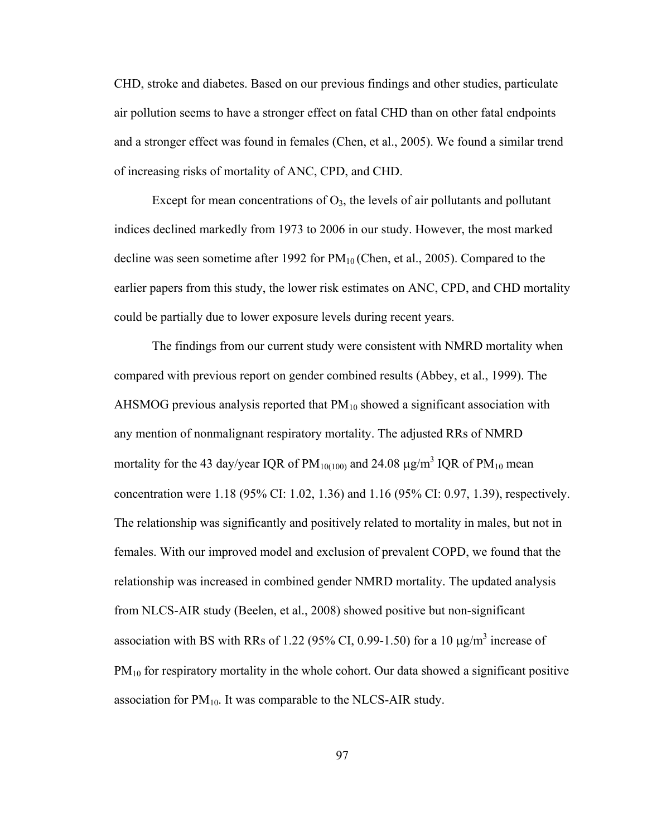CHD, stroke and diabetes. Based on our previous findings and other studies, particulate air pollution seems to have a stronger effect on fatal CHD than on other fatal endpoints and a stronger effect was found in females (Chen, et al., 2005). We found a similar trend of increasing risks of mortality of ANC, CPD, and CHD.

Except for mean concentrations of  $O_3$ , the levels of air pollutants and pollutant indices declined markedly from 1973 to 2006 in our study. However, the most marked decline was seen sometime after 1992 for  $PM_{10}$  (Chen, et al., 2005). Compared to the earlier papers from this study, the lower risk estimates on ANC, CPD, and CHD mortality could be partially due to lower exposure levels during recent years.

The findings from our current study were consistent with NMRD mortality when compared with previous report on gender combined results (Abbey, et al., 1999). The AHSMOG previous analysis reported that  $PM_{10}$  showed a significant association with any mention of nonmalignant respiratory mortality. The adjusted RRs of NMRD mortality for the 43 day/year IQR of PM<sub>10(100)</sub> and 24.08  $\mu$ g/m<sup>3</sup> IQR of PM<sub>10</sub> mean concentration were 1.18 (95% CI: 1.02, 1.36) and 1.16 (95% CI: 0.97, 1.39), respectively. The relationship was significantly and positively related to mortality in males, but not in females. With our improved model and exclusion of prevalent COPD, we found that the relationship was increased in combined gender NMRD mortality. The updated analysis from NLCS-AIR study (Beelen, et al., 2008) showed positive but non-significant association with BS with RRs of 1.22 (95% CI, 0.99-1.50) for a 10  $\mu$ g/m<sup>3</sup> increase of  $PM_{10}$  for respiratory mortality in the whole cohort. Our data showed a significant positive association for  $PM_{10}$ . It was comparable to the NLCS-AIR study.

97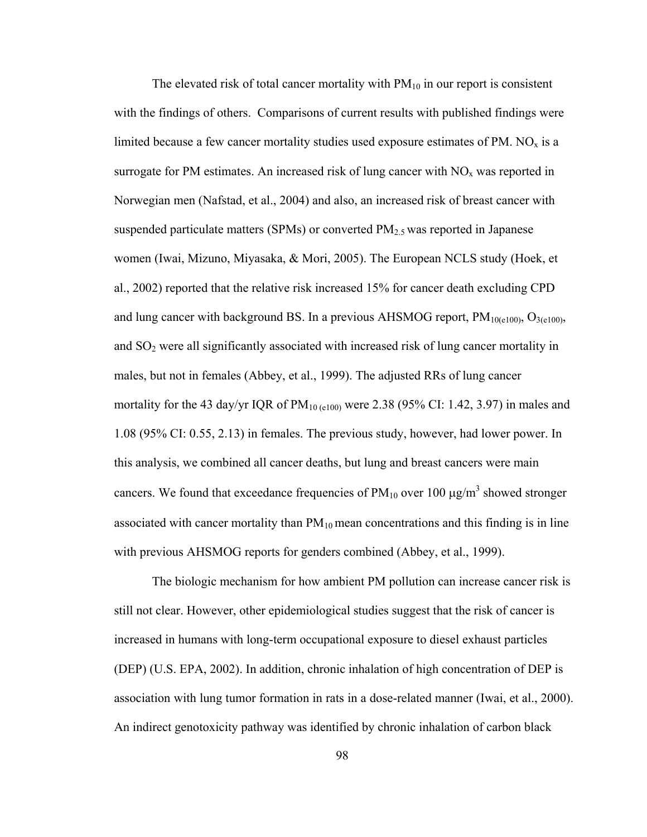The elevated risk of total cancer mortality with  $PM_{10}$  in our report is consistent with the findings of others. Comparisons of current results with published findings were limited because a few cancer mortality studies used exposure estimates of PM.  $NO<sub>x</sub>$  is a surrogate for PM estimates. An increased risk of lung cancer with  $NO<sub>x</sub>$  was reported in Norwegian men (Nafstad, et al., 2004) and also, an increased risk of breast cancer with suspended particulate matters (SPMs) or converted  $PM_{2.5}$  was reported in Japanese women (Iwai, Mizuno, Miyasaka, & Mori, 2005). The European NCLS study (Hoek, et al., 2002) reported that the relative risk increased 15% for cancer death excluding CPD and lung cancer with background BS. In a previous AHSMOG report,  $PM_{10(0.100)}$ ,  $O_{3(0.100)}$ , and SO2 were all significantly associated with increased risk of lung cancer mortality in males, but not in females (Abbey, et al., 1999). The adjusted RRs of lung cancer mortality for the 43 day/yr IQR of  $PM_{10 \text{ (e100)}}$  were 2.38 (95% CI: 1.42, 3.97) in males and 1.08 (95% CI: 0.55, 2.13) in females. The previous study, however, had lower power. In this analysis, we combined all cancer deaths, but lung and breast cancers were main cancers. We found that exceedance frequencies of  $PM_{10}$  over 100  $\mu$ g/m<sup>3</sup> showed stronger associated with cancer mortality than  $PM_{10}$  mean concentrations and this finding is in line with previous AHSMOG reports for genders combined (Abbey, et al., 1999).

The biologic mechanism for how ambient PM pollution can increase cancer risk is still not clear. However, other epidemiological studies suggest that the risk of cancer is increased in humans with long-term occupational exposure to diesel exhaust particles (DEP) (U.S. EPA, 2002). In addition, chronic inhalation of high concentration of DEP is association with lung tumor formation in rats in a dose-related manner (Iwai, et al., 2000). An indirect genotoxicity pathway was identified by chronic inhalation of carbon black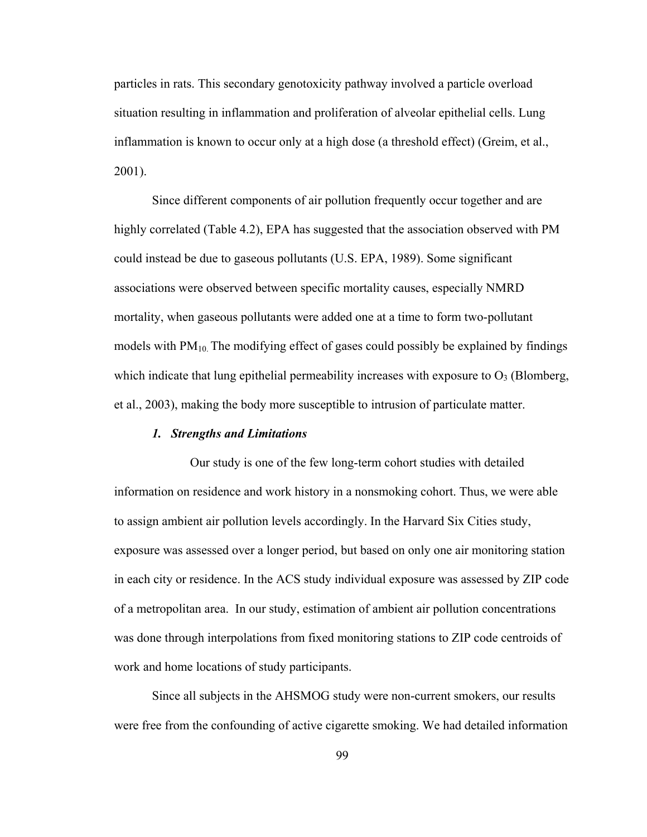particles in rats. This secondary genotoxicity pathway involved a particle overload situation resulting in inflammation and proliferation of alveolar epithelial cells. Lung inflammation is known to occur only at a high dose (a threshold effect) (Greim, et al., 2001).

Since different components of air pollution frequently occur together and are highly correlated (Table 4.2), EPA has suggested that the association observed with PM could instead be due to gaseous pollutants (U.S. EPA, 1989). Some significant associations were observed between specific mortality causes, especially NMRD mortality, when gaseous pollutants were added one at a time to form two-pollutant models with  $PM_{10}$ . The modifying effect of gases could possibly be explained by findings which indicate that lung epithelial permeability increases with exposure to  $O_3$  (Blomberg, et al., 2003), making the body more susceptible to intrusion of particulate matter.

## *1. Strengths and Limitations*

Our study is one of the few long-term cohort studies with detailed information on residence and work history in a nonsmoking cohort. Thus, we were able to assign ambient air pollution levels accordingly. In the Harvard Six Cities study, exposure was assessed over a longer period, but based on only one air monitoring station in each city or residence. In the ACS study individual exposure was assessed by ZIP code of a metropolitan area. In our study, estimation of ambient air pollution concentrations was done through interpolations from fixed monitoring stations to ZIP code centroids of work and home locations of study participants.

Since all subjects in the AHSMOG study were non-current smokers, our results were free from the confounding of active cigarette smoking. We had detailed information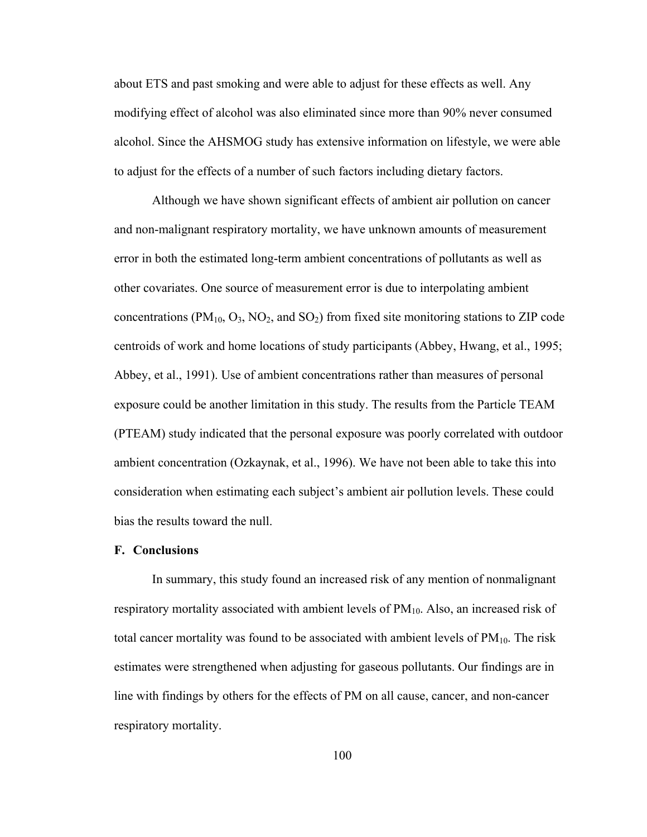about ETS and past smoking and were able to adjust for these effects as well. Any modifying effect of alcohol was also eliminated since more than 90% never consumed alcohol. Since the AHSMOG study has extensive information on lifestyle, we were able to adjust for the effects of a number of such factors including dietary factors.

Although we have shown significant effects of ambient air pollution on cancer and non-malignant respiratory mortality, we have unknown amounts of measurement error in both the estimated long-term ambient concentrations of pollutants as well as other covariates. One source of measurement error is due to interpolating ambient concentrations ( $PM_{10}$ ,  $O_3$ ,  $NO_2$ , and  $SO_2$ ) from fixed site monitoring stations to ZIP code centroids of work and home locations of study participants (Abbey, Hwang, et al., 1995; Abbey, et al., 1991). Use of ambient concentrations rather than measures of personal exposure could be another limitation in this study. The results from the Particle TEAM (PTEAM) study indicated that the personal exposure was poorly correlated with outdoor ambient concentration (Ozkaynak, et al., 1996). We have not been able to take this into consideration when estimating each subject's ambient air pollution levels. These could bias the results toward the null.

#### **F. Conclusions**

In summary, this study found an increased risk of any mention of nonmalignant respiratory mortality associated with ambient levels of  $PM_{10}$ . Also, an increased risk of total cancer mortality was found to be associated with ambient levels of  $PM_{10}$ . The risk estimates were strengthened when adjusting for gaseous pollutants. Our findings are in line with findings by others for the effects of PM on all cause, cancer, and non-cancer respiratory mortality.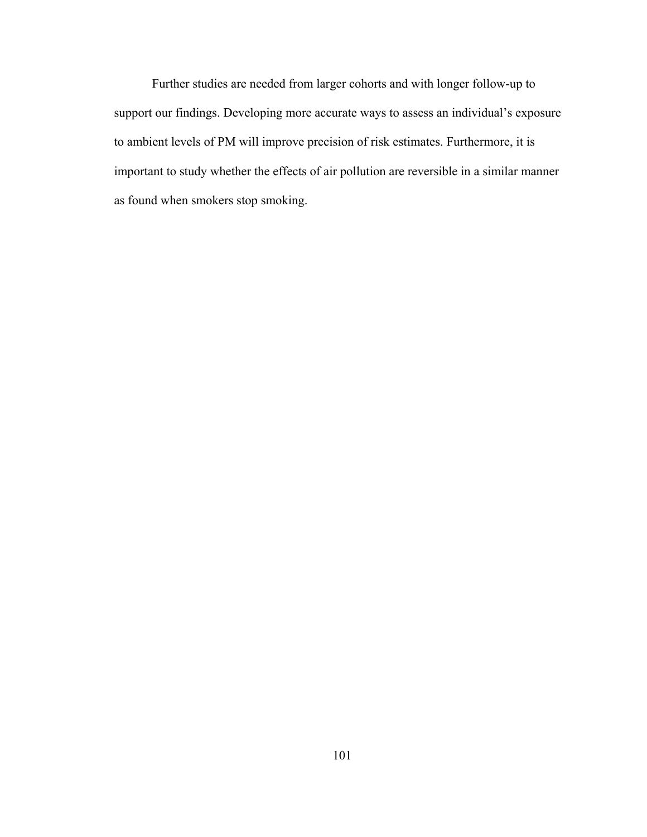Further studies are needed from larger cohorts and with longer follow-up to support our findings. Developing more accurate ways to assess an individual's exposure to ambient levels of PM will improve precision of risk estimates. Furthermore, it is important to study whether the effects of air pollution are reversible in a similar manner as found when smokers stop smoking.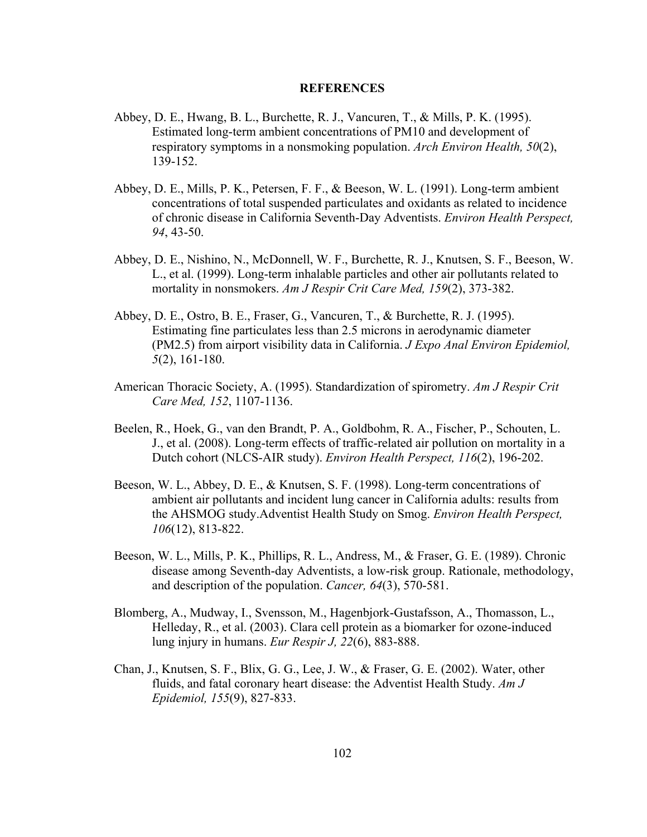#### **REFERENCES**

- Abbey, D. E., Hwang, B. L., Burchette, R. J., Vancuren, T., & Mills, P. K. (1995). Estimated long-term ambient concentrations of PM10 and development of respiratory symptoms in a nonsmoking population. *Arch Environ Health, 50*(2), 139-152.
- Abbey, D. E., Mills, P. K., Petersen, F. F., & Beeson, W. L. (1991). Long-term ambient concentrations of total suspended particulates and oxidants as related to incidence of chronic disease in California Seventh-Day Adventists. *Environ Health Perspect, 94*, 43-50.
- Abbey, D. E., Nishino, N., McDonnell, W. F., Burchette, R. J., Knutsen, S. F., Beeson, W. L., et al. (1999). Long-term inhalable particles and other air pollutants related to mortality in nonsmokers. *Am J Respir Crit Care Med, 159*(2), 373-382.
- Abbey, D. E., Ostro, B. E., Fraser, G., Vancuren, T., & Burchette, R. J. (1995). Estimating fine particulates less than 2.5 microns in aerodynamic diameter (PM2.5) from airport visibility data in California. *J Expo Anal Environ Epidemiol, 5*(2), 161-180.
- American Thoracic Society, A. (1995). Standardization of spirometry. *Am J Respir Crit Care Med, 152*, 1107-1136.
- Beelen, R., Hoek, G., van den Brandt, P. A., Goldbohm, R. A., Fischer, P., Schouten, L. J., et al. (2008). Long-term effects of traffic-related air pollution on mortality in a Dutch cohort (NLCS-AIR study). *Environ Health Perspect, 116*(2), 196-202.
- Beeson, W. L., Abbey, D. E., & Knutsen, S. F. (1998). Long-term concentrations of ambient air pollutants and incident lung cancer in California adults: results from the AHSMOG study.Adventist Health Study on Smog. *Environ Health Perspect, 106*(12), 813-822.
- Beeson, W. L., Mills, P. K., Phillips, R. L., Andress, M., & Fraser, G. E. (1989). Chronic disease among Seventh-day Adventists, a low-risk group. Rationale, methodology, and description of the population. *Cancer, 64*(3), 570-581.
- Blomberg, A., Mudway, I., Svensson, M., Hagenbjork-Gustafsson, A., Thomasson, L., Helleday, R., et al. (2003). Clara cell protein as a biomarker for ozone-induced lung injury in humans. *Eur Respir J, 22*(6), 883-888.
- Chan, J., Knutsen, S. F., Blix, G. G., Lee, J. W., & Fraser, G. E. (2002). Water, other fluids, and fatal coronary heart disease: the Adventist Health Study. *Am J Epidemiol, 155*(9), 827-833.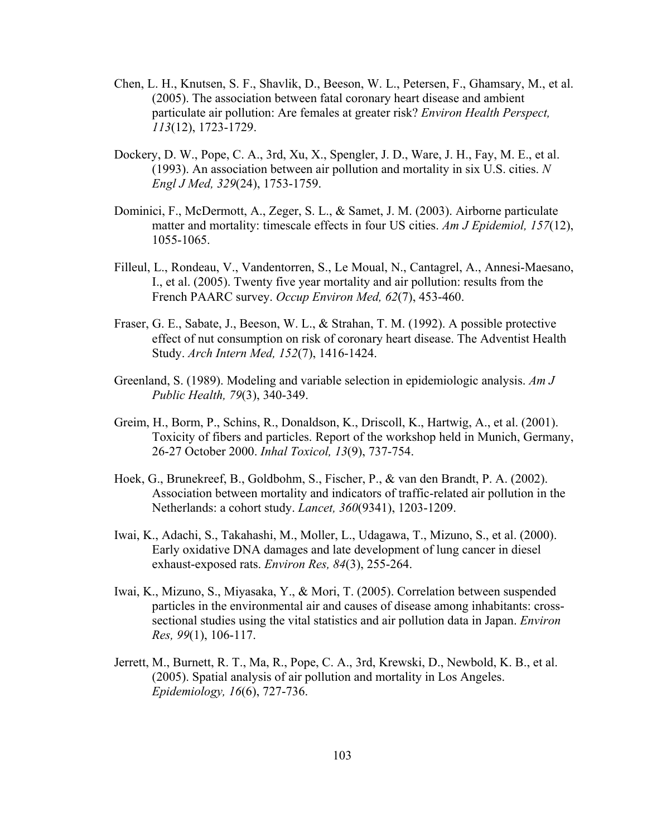- Chen, L. H., Knutsen, S. F., Shavlik, D., Beeson, W. L., Petersen, F., Ghamsary, M., et al. (2005). The association between fatal coronary heart disease and ambient particulate air pollution: Are females at greater risk? *Environ Health Perspect, 113*(12), 1723-1729.
- Dockery, D. W., Pope, C. A., 3rd, Xu, X., Spengler, J. D., Ware, J. H., Fay, M. E., et al. (1993). An association between air pollution and mortality in six U.S. cities. *N Engl J Med, 329*(24), 1753-1759.
- Dominici, F., McDermott, A., Zeger, S. L., & Samet, J. M. (2003). Airborne particulate matter and mortality: timescale effects in four US cities. *Am J Epidemiol, 157*(12), 1055-1065.
- Filleul, L., Rondeau, V., Vandentorren, S., Le Moual, N., Cantagrel, A., Annesi-Maesano, I., et al. (2005). Twenty five year mortality and air pollution: results from the French PAARC survey. *Occup Environ Med, 62*(7), 453-460.
- Fraser, G. E., Sabate, J., Beeson, W. L., & Strahan, T. M. (1992). A possible protective effect of nut consumption on risk of coronary heart disease. The Adventist Health Study. *Arch Intern Med, 152*(7), 1416-1424.
- Greenland, S. (1989). Modeling and variable selection in epidemiologic analysis. *Am J Public Health, 79*(3), 340-349.
- Greim, H., Borm, P., Schins, R., Donaldson, K., Driscoll, K., Hartwig, A., et al. (2001). Toxicity of fibers and particles. Report of the workshop held in Munich, Germany, 26-27 October 2000. *Inhal Toxicol, 13*(9), 737-754.
- Hoek, G., Brunekreef, B., Goldbohm, S., Fischer, P., & van den Brandt, P. A. (2002). Association between mortality and indicators of traffic-related air pollution in the Netherlands: a cohort study. *Lancet, 360*(9341), 1203-1209.
- Iwai, K., Adachi, S., Takahashi, M., Moller, L., Udagawa, T., Mizuno, S., et al. (2000). Early oxidative DNA damages and late development of lung cancer in diesel exhaust-exposed rats. *Environ Res, 84*(3), 255-264.
- Iwai, K., Mizuno, S., Miyasaka, Y., & Mori, T. (2005). Correlation between suspended particles in the environmental air and causes of disease among inhabitants: crosssectional studies using the vital statistics and air pollution data in Japan. *Environ Res, 99*(1), 106-117.
- Jerrett, M., Burnett, R. T., Ma, R., Pope, C. A., 3rd, Krewski, D., Newbold, K. B., et al. (2005). Spatial analysis of air pollution and mortality in Los Angeles. *Epidemiology, 16*(6), 727-736.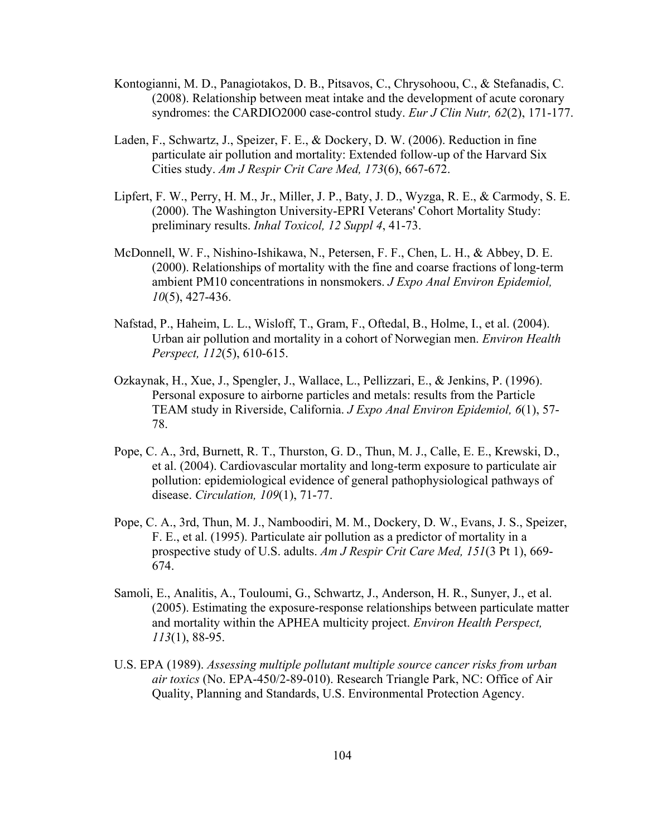- Kontogianni, M. D., Panagiotakos, D. B., Pitsavos, C., Chrysohoou, C., & Stefanadis, C. (2008). Relationship between meat intake and the development of acute coronary syndromes: the CARDIO2000 case-control study. *Eur J Clin Nutr, 62*(2), 171-177.
- Laden, F., Schwartz, J., Speizer, F. E., & Dockery, D. W. (2006). Reduction in fine particulate air pollution and mortality: Extended follow-up of the Harvard Six Cities study. *Am J Respir Crit Care Med, 173*(6), 667-672.
- Lipfert, F. W., Perry, H. M., Jr., Miller, J. P., Baty, J. D., Wyzga, R. E., & Carmody, S. E. (2000). The Washington University-EPRI Veterans' Cohort Mortality Study: preliminary results. *Inhal Toxicol, 12 Suppl 4*, 41-73.
- McDonnell, W. F., Nishino-Ishikawa, N., Petersen, F. F., Chen, L. H., & Abbey, D. E. (2000). Relationships of mortality with the fine and coarse fractions of long-term ambient PM10 concentrations in nonsmokers. *J Expo Anal Environ Epidemiol, 10*(5), 427-436.
- Nafstad, P., Haheim, L. L., Wisloff, T., Gram, F., Oftedal, B., Holme, I., et al. (2004). Urban air pollution and mortality in a cohort of Norwegian men. *Environ Health Perspect, 112*(5), 610-615.
- Ozkaynak, H., Xue, J., Spengler, J., Wallace, L., Pellizzari, E., & Jenkins, P. (1996). Personal exposure to airborne particles and metals: results from the Particle TEAM study in Riverside, California. *J Expo Anal Environ Epidemiol, 6*(1), 57- 78.
- Pope, C. A., 3rd, Burnett, R. T., Thurston, G. D., Thun, M. J., Calle, E. E., Krewski, D., et al. (2004). Cardiovascular mortality and long-term exposure to particulate air pollution: epidemiological evidence of general pathophysiological pathways of disease. *Circulation, 109*(1), 71-77.
- Pope, C. A., 3rd, Thun, M. J., Namboodiri, M. M., Dockery, D. W., Evans, J. S., Speizer, F. E., et al. (1995). Particulate air pollution as a predictor of mortality in a prospective study of U.S. adults. *Am J Respir Crit Care Med, 151*(3 Pt 1), 669- 674.
- Samoli, E., Analitis, A., Touloumi, G., Schwartz, J., Anderson, H. R., Sunyer, J., et al. (2005). Estimating the exposure-response relationships between particulate matter and mortality within the APHEA multicity project. *Environ Health Perspect, 113*(1), 88-95.
- U.S. EPA (1989). *Assessing multiple pollutant multiple source cancer risks from urban air toxics* (No. EPA-450/2-89-010). Research Triangle Park, NC: Office of Air Quality, Planning and Standards, U.S. Environmental Protection Agency.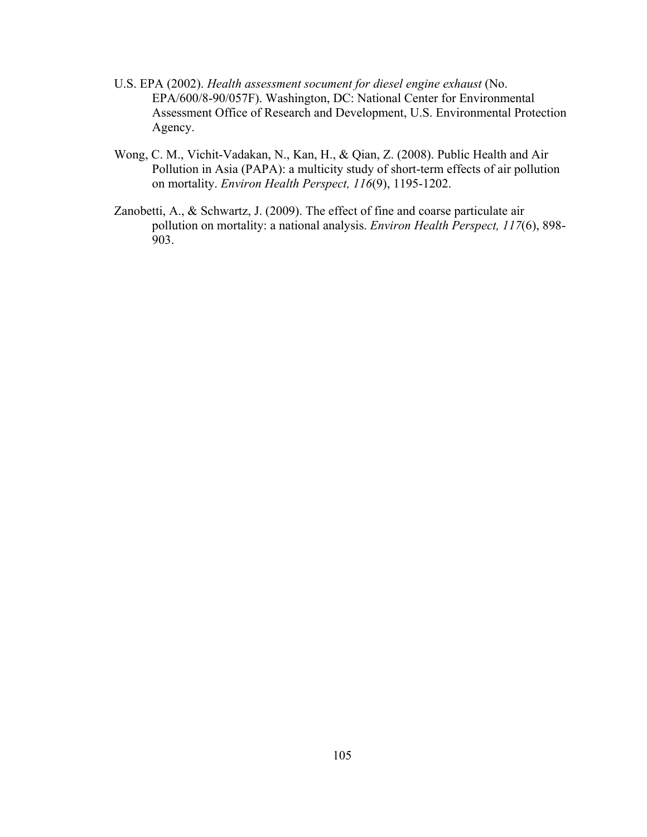- U.S. EPA (2002). *Health assessment socument for diesel engine exhaust* (No. EPA/600/8-90/057F). Washington, DC: National Center for Environmental Assessment Office of Research and Development, U.S. Environmental Protection Agency.
- Wong, C. M., Vichit-Vadakan, N., Kan, H., & Qian, Z. (2008). Public Health and Air Pollution in Asia (PAPA): a multicity study of short-term effects of air pollution on mortality. *Environ Health Perspect, 116*(9), 1195-1202.
- Zanobetti, A., & Schwartz, J. (2009). The effect of fine and coarse particulate air pollution on mortality: a national analysis. *Environ Health Perspect, 117*(6), 898- 903.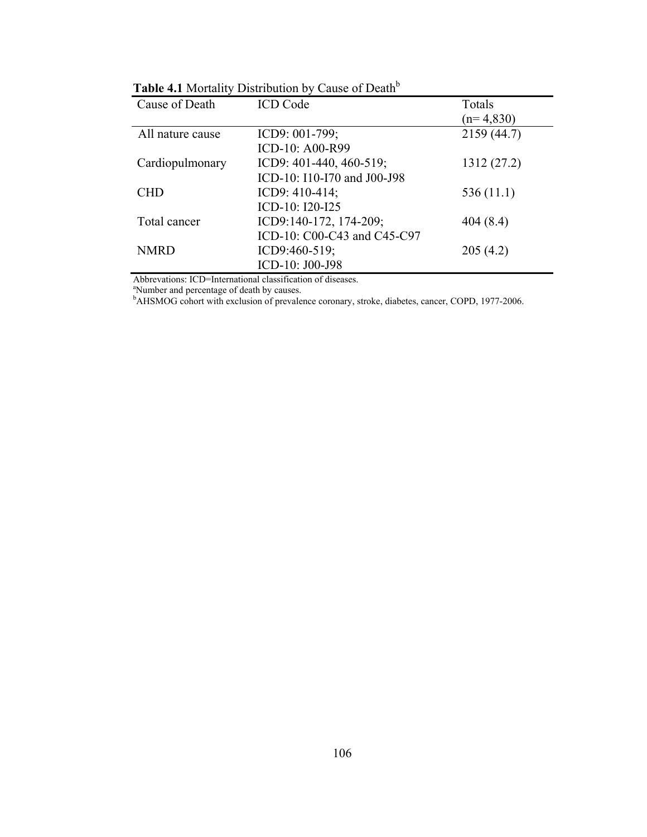| Cause of Death   | <b>ICD</b> Code             | Totals      |
|------------------|-----------------------------|-------------|
|                  |                             | $(n=4,830)$ |
| All nature cause | ICD9: $001-799$ ;           | 2159 (44.7) |
|                  | ICD-10: A00-R99             |             |
| Cardiopulmonary  | ICD9: 401-440, 460-519;     | 1312 (27.2) |
|                  | ICD-10: I10-I70 and J00-J98 |             |
| <b>CHD</b>       | ICD9: 410-414;              | 536(11.1)   |
|                  | ICD-10: I20-I25             |             |
| Total cancer     | ICD9:140-172, 174-209;      | 404(8.4)    |
|                  | ICD-10: C00-C43 and C45-C97 |             |
| <b>NMRD</b>      | ICD9:460-519;               | 205(4.2)    |
|                  | ICD-10: J00-J98             |             |
|                  |                             |             |

Table 4.1 Mortality Distribution by Cause of Death<sup>b</sup>

Abbrevations: ICD=International classification of diseases.<br><sup>8</sup>Number and percentage of death by causes.<br><sup>b</sup>AHSMOG cohort with exclusion of prevalence coronary, stroke, diabetes, cancer, COPD, 1977-2006.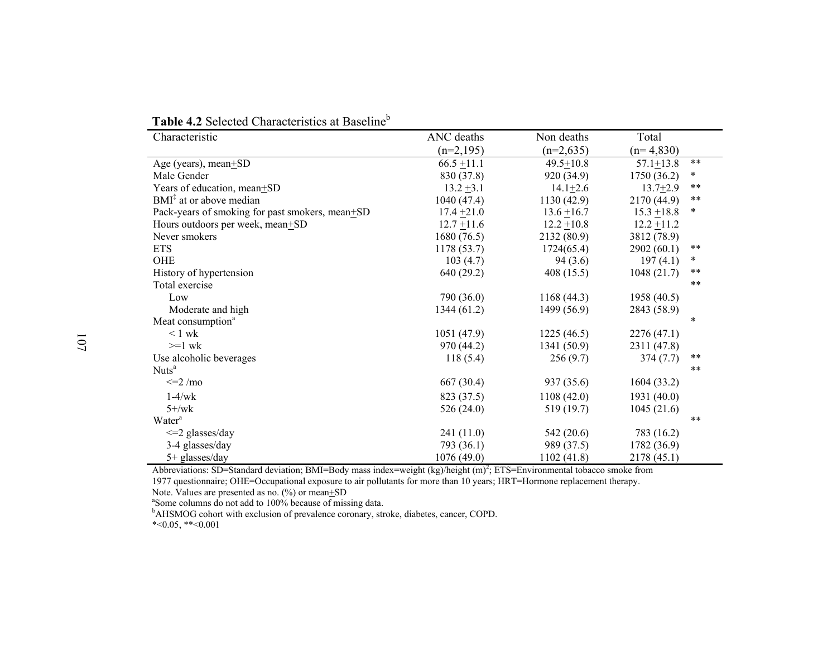| Characteristic                                  | ANC deaths    | Non deaths      | Total         |               |
|-------------------------------------------------|---------------|-----------------|---------------|---------------|
|                                                 | $(n=2,195)$   | $(n=2,635)$     | $(n=4,830)$   |               |
| Age (years), mean $\pm$ SD                      | $66.5 + 11.1$ | $49.5 \pm 10.8$ | $57.1 + 13.8$ | $***$         |
| Male Gender                                     | 830 (37.8)    | 920 (34.9)      | 1750 (36.2)   | $\ast$        |
| Years of education, mean+SD                     | $13.2 + 3.1$  | $14.1 + 2.6$    | $13.7 + 2.9$  | $***$         |
| BMI <sup>‡</sup> at or above median             | 1040 (47.4)   | 1130(42.9)      | 2170 (44.9)   | $\ast\ast$    |
| Pack-years of smoking for past smokers, mean+SD | $17.4 + 21.0$ | $13.6 + 16.7$   | $15.3 + 18.8$ | *             |
| Hours outdoors per week, mean+SD                | $12.7 + 11.6$ | $12.2 + 10.8$   | $12.2 + 11.2$ |               |
| Never smokers                                   | 1680(76.5)    | 2132 (80.9)     | 3812 (78.9)   |               |
| <b>ETS</b>                                      | 1178 (53.7)   | 1724(65.4)      | 2902(60.1)    | $***$         |
| OHE                                             | 103(4.7)      | 94(3.6)         | 197(4.1)      | *             |
| History of hypertension                         | 640 (29.2)    | 408(15.5)       | 1048(21.7)    | $\ast$ $\ast$ |
| Total exercise                                  |               |                 |               | $***$         |
| Low                                             | 790 (36.0)    | 1168(44.3)      | 1958 (40.5)   |               |
| Moderate and high                               | 1344(61.2)    | 1499 (56.9)     | 2843 (58.9)   |               |
| Meat consumption <sup>a</sup>                   |               |                 |               | $\ast$        |
| $\leq 1$ wk                                     | 1051(47.9)    | 1225(46.5)      | 2276(47.1)    |               |
| $>=1$ wk                                        | 970 (44.2)    | 1341 (50.9)     | 2311 (47.8)   |               |
| Use alcoholic beverages                         | 118(5.4)      | 256(9.7)        | 374(7.7)      | $\ast\ast$    |
| Nuts <sup>a</sup>                               |               |                 |               | $***$         |
| $\leq$ = 2 /mo                                  | 667 (30.4)    | 937 (35.6)      | 1604 (33.2)   |               |
| $1-4/wk$                                        | 823 (37.5)    | 1108(42.0)      | 1931(40.0)    |               |
| $5 +$ /wk                                       | 526 (24.0)    | 519 (19.7)      | 1045(21.6)    |               |
| Water <sup>a</sup>                              |               |                 |               | $***$         |
| $\leq$ 2 glasses/day                            | 241 (11.0)    | 542 (20.6)      | 783 (16.2)    |               |
| 3-4 glasses/day                                 | 793 (36.1)    | 989 (37.5)      | 1782 (36.9)   |               |
| $5+$ glasses/day                                | 1076 (49.0)   | 1102(41.8)      | 2178 (45.1)   |               |

**Table 4.2** Selected Characteristics at Baseline<sup>b</sup>

Abbreviations: SD=Standard deviation; BMI=Body mass index=weight (kg)/height  $(m)^2$ ; ETS=Environmental tobacco smoke from 1977 questionnaire; OHE=Occupational exposure to air pollutants for more than 10 years; HRT=Hormone replacement therapy.

Note. Values are presented as no. (%) or mean+SD

<sup>a</sup>Some columns do not add to 100% because of missing data.

<sup>b</sup>AHSMOG cohort with exclusion of prevalence coronary, stroke, diabetes, cancer, COPD.

\*<0.05, \*\*<0.001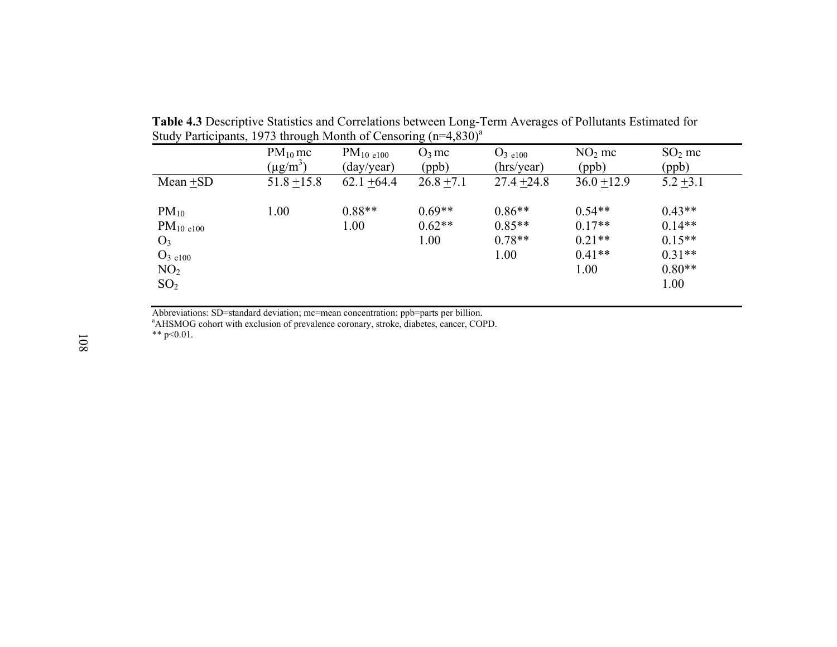|                     | $PM_{10}$ mc  | $PM_{10c100}$ | $O_3$ mc     | $O_{3 \text{ e}100}$ | $NO2$ mc      | $SO2$ mc    |
|---------------------|---------------|---------------|--------------|----------------------|---------------|-------------|
|                     | $(\mu g/m^3)$ | (day/year)    | (ppb)        | (hrs/year)           | (ppb)         | (ppb)       |
| $Mean + SD$         | $51.8 + 15.8$ | $62.1 + 64.4$ | $26.8 + 7.1$ | $27.4 + 24.8$        | $36.0 + 12.9$ | $5.2 + 3.1$ |
| $PM_{10}$           | 1.00          | $0.88**$      | $0.69**$     | $0.86**$             | $0.54**$      | $0.43**$    |
| $PM_{10c100}$       |               | 1.00          | $0.62**$     | $0.85**$             | $0.17**$      | $0.14**$    |
| $O_3$               |               |               | 1.00         | $0.78**$             | $0.21**$      | $0.15**$    |
| O <sub>3 e100</sub> |               |               |              | 1.00                 | $0.41**$      | $0.31**$    |
| NO <sub>2</sub>     |               |               |              |                      | 1.00          | $0.80**$    |
| SO <sub>2</sub>     |               |               |              |                      |               | 1.00        |

**Table 4.3** Descriptive Statistics and Correlations between Long-Term Averages of Pollutants Estimated for Study Participants, 1973 through Month of Censoring  $(n=4,830)^{a}$ 

Abbreviations: SD=standard deviation; mc=mean concentration; ppb=parts per billion.

aAHSMOG cohort with exclusion of prevalence coronary, stroke, diabetes, cancer, COPD.

\*\*  $p<0.01$ .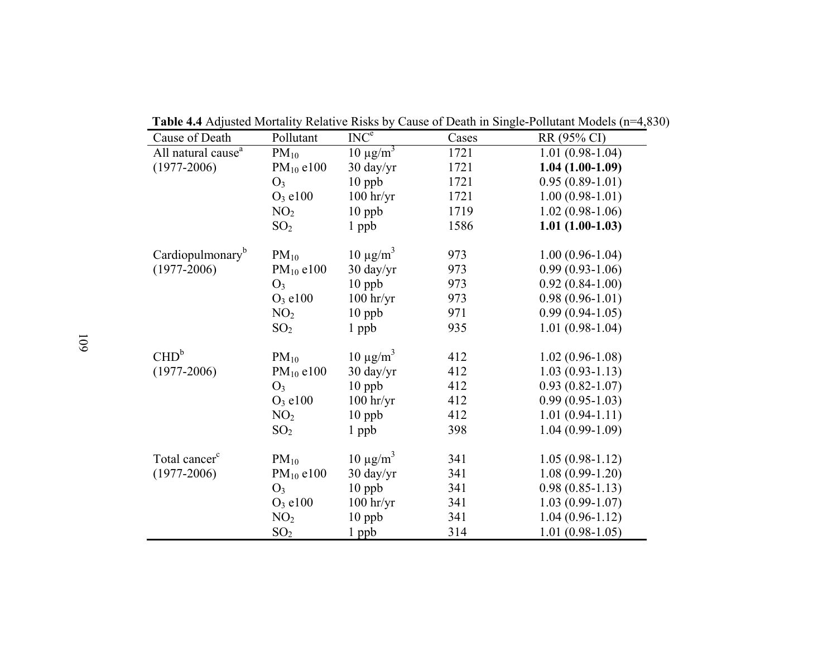|  | <b>Table 4.4</b> Adjusted Mortality Relative Risks by Cause of Death in Single-Pollutant Models (n=4,830) |
|--|-----------------------------------------------------------------------------------------------------------|

| Cause of Death                 | Pollutant       | INC <sup>e</sup>    | Cases | RR (95% CI)         |
|--------------------------------|-----------------|---------------------|-------|---------------------|
| All natural cause <sup>a</sup> | $PM_{10}$       | $10 \mu g/m^3$      | 1721  | $1.01(0.98-1.04)$   |
| $(1977 - 2006)$                | $PM_{10}$ e100  | $30 \frac{day}{yr}$ | 1721  | $1.04(1.00-1.09)$   |
|                                | O <sub>3</sub>  | $10$ ppb            | 1721  | $0.95(0.89-1.01)$   |
|                                | $O_3$ e100      | $100$ hr/yr         | 1721  | $1.00(0.98-1.01)$   |
|                                | NO <sub>2</sub> | $10$ ppb            | 1719  | $1.02(0.98-1.06)$   |
|                                | SO <sub>2</sub> | $1$ ppb             | 1586  | $1.01(1.00-1.03)$   |
| Cardiopulmonary <sup>b</sup>   | $PM_{10}$       | $10 \mu g/m^3$      | 973   | $1.00(0.96 - 1.04)$ |
| $(1977 - 2006)$                | $PM_{10}$ e100  | 30 day/yr           | 973   | $0.99(0.93-1.06)$   |
|                                | $O_3$           | $10$ ppb            | 973   | $0.92(0.84-1.00)$   |
|                                | $O_3$ e100      | $100$ hr/yr         | 973   | $0.98(0.96 - 1.01)$ |
|                                | NO <sub>2</sub> | $10$ ppb            | 971   | $0.99(0.94-1.05)$   |
|                                | SO <sub>2</sub> | 1 ppb               | 935   | $1.01(0.98-1.04)$   |
| CHD <sup>b</sup>               | $PM_{10}$       | $10 \mu g/m^3$      | 412   | $1.02(0.96 - 1.08)$ |
| $(1977 - 2006)$                | $PM_{10}$ e100  | 30 day/yr           | 412   | $1.03(0.93-1.13)$   |
|                                | $O_3$           | $10$ ppb            | 412   | $0.93(0.82 - 1.07)$ |
|                                | $O_3$ e100      | $100$ hr/yr         | 412   | $0.99(0.95-1.03)$   |
|                                | NO <sub>2</sub> | $10$ ppb            | 412   | $1.01(0.94-1.11)$   |
|                                | SO <sub>2</sub> | $1$ ppb             | 398   | $1.04(0.99-1.09)$   |
| Total cancer <sup>c</sup>      | $PM_{10}$       | $10 \mu g/m^3$      | 341   | $1.05(0.98-1.12)$   |
| $(1977 - 2006)$                | $PM_{10}$ e100  | 30 day/yr           | 341   | $1.08(0.99-1.20)$   |
|                                | $O_3$           | $10$ ppb            | 341   | $0.98(0.85-1.13)$   |
|                                | $O_3$ e100      | $100$ hr/yr         | 341   | $1.03(0.99-1.07)$   |
|                                | NO <sub>2</sub> | $10$ ppb            | 341   | $1.04(0.96 - 1.12)$ |
|                                | SO <sub>2</sub> | 1 ppb               | 314   | $1.01(0.98-1.05)$   |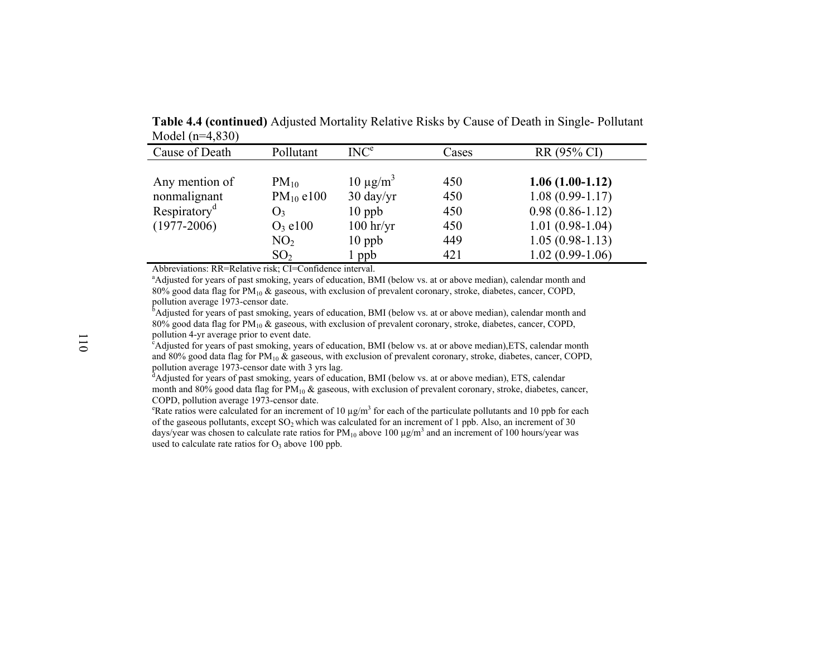**Table 4.4 (continued)** Adjusted Mortality Relative Risks by Cause of Death in Single- Pollutant Model (n=4,830)

| Cause of Death                                                                | Pollutant                                                                                         | INC <sup>e</sup>                                                                    | Cases                                  | RR (95% CI)                                                                                                                  |
|-------------------------------------------------------------------------------|---------------------------------------------------------------------------------------------------|-------------------------------------------------------------------------------------|----------------------------------------|------------------------------------------------------------------------------------------------------------------------------|
| Any mention of<br>nonmalignant<br>Respiratory <sup>a</sup><br>$(1977 - 2006)$ | $PM_{10}$<br>$PM_{10}$ e100<br>$\mathbf{O}_3$<br>$O_3$ e100<br>NO <sub>2</sub><br>SO <sub>2</sub> | $10 \mu g/m^3$<br>$30 \frac{day}{yr}$<br>$10$ ppb<br>$100$ hr/yr<br>$10$ ppb<br>ppb | 450<br>450<br>450<br>450<br>449<br>421 | $1.06(1.00-1.12)$<br>$1.08(0.99-1.17)$<br>$0.98(0.86 - 1.12)$<br>$1.01(0.98-1.04)$<br>$1.05(0.98-1.13)$<br>$1.02(0.99-1.06)$ |

Abbreviations: RR=Relative risk; CI=Confidence interval.

<sup>a</sup>Adjusted for years of past smoking, years of education, BMI (below vs. at or above median), calendar month and 80% good data flag for  $PM_{10}$  & gaseous, with exclusion of prevalent coronary, stroke, diabetes, cancer, COPD, pollution average 1973-censor date.

<sup>b</sup>Adjusted for years of past smoking, years of education, BMI (below vs. at or above median), calendar month and 80% good data flag for  $PM_{10}$  & gaseous, with exclusion of prevalent coronary, stroke, diabetes, cancer, COPD, pollution 4-yr average prior to event date.

<sup>c</sup>Adjusted for years of past smoking, years of education, BMI (below vs. at or above median), ETS, calendar month and 80% good data flag for  $PM_{10}$  & gaseous, with exclusion of prevalent coronary, stroke, diabetes, cancer, COPD, pollution average 1973-censor date with 3 yrs lag.<br><sup>d</sup>Adjusted for years of past smoking, years of education, BMI (below vs. at or above median), ETS, calendar

month and 80% good data flag for  $PM_{10}$  & gaseous, with exclusion of prevalent coronary, stroke, diabetes, cancer, COPD, pollution average 1973-censor date.

<sup>e</sup>Rate ratios were calculated for an increment of 10  $\mu$ g/m<sup>3</sup> for each of the particulate pollutants and 10 ppb for each of the gaseous pollutants, except  $SO_2$  which was calculated for an increment of 1 ppb. Also, an increment of 30 days/year was chosen to calculate rate ratios for  $PM_{10}$  above 100  $\mu$ g/m<sup>3</sup> and an increment of 100 hours/year was used to calculate rate ratios for  $O_3$  above 100 ppb.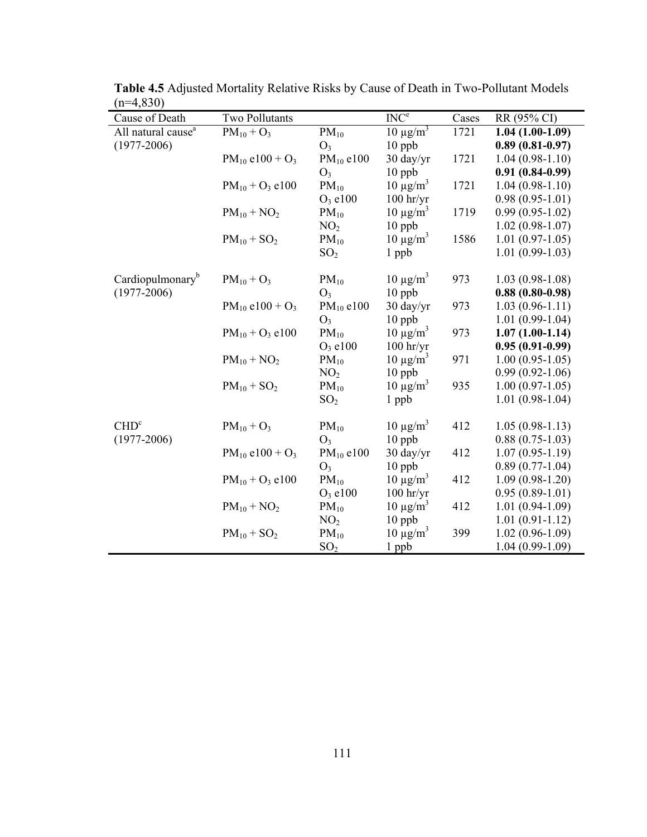| Cause of Death                 | Two Pollutants                  |                 | INC <sup>e</sup>    | Cases | RR (95% CI)         |
|--------------------------------|---------------------------------|-----------------|---------------------|-------|---------------------|
| All natural cause <sup>a</sup> | $PM_{10} + O_3$                 | $PM_{10}$       | $10 \mu g/m^3$      | 1721  | $1.04(1.00-1.09)$   |
| $(1977 - 2006)$                |                                 | $O_3$           | 10 ppb              |       | $0.89(0.81-0.97)$   |
|                                | $PM_{10}$ e100 + O <sub>3</sub> | $PM_{10}$ e100  | 30 day/yr           | 1721  | $1.04(0.98-1.10)$   |
|                                |                                 | $O_3$           | $10$ ppb            |       | $0.91(0.84-0.99)$   |
|                                | $PM_{10} + O_3$ e100            | $PM_{10}$       | $10 \mu g/m^3$      | 1721  | $1.04(0.98-1.10)$   |
|                                |                                 | $O_3$ e100      | $100$ hr/yr         |       | $0.98(0.95-1.01)$   |
|                                | $PM_{10} + NO_2$                | $PM_{10}$       | $10 \mu g/m^3$      | 1719  | $0.99(0.95-1.02)$   |
|                                |                                 | NO <sub>2</sub> | $10$ ppb            |       | $1.02(0.98-1.07)$   |
|                                | $PM_{10} + SO_2$                | $PM_{10}$       | $10 \mu g/m^3$      | 1586  | $1.01(0.97-1.05)$   |
|                                |                                 | SO <sub>2</sub> | 1 ppb               |       | $1.01(0.99-1.03)$   |
|                                |                                 |                 |                     |       |                     |
| Cardiopulmonary <sup>b</sup>   | $PM_{10} + O_3$                 | $PM_{10}$       | $10 \mu g/m^3$      | 973   | $1.03(0.98-1.08)$   |
| $(1977 - 2006)$                |                                 | $O_3$           | $10$ ppb            |       | $0.88(0.80-0.98)$   |
|                                | $PM_{10}$ e100 + O <sub>3</sub> | $PM_{10}$ e100  | $30 \frac{day}{yr}$ | 973   | $1.03(0.96 - 1.11)$ |
|                                |                                 | $O_3$           | $10$ ppb            |       | $1.01(0.99-1.04)$   |
|                                | $PM_{10} + O_3$ e100            | $PM_{10}$       | $10 \mu g/m^3$      | 973   | $1.07(1.00-1.14)$   |
|                                |                                 | $O_3$ e100      | $100$ hr/yr         |       | $0.95(0.91-0.99)$   |
|                                | $PM_{10} + NO_2$                | $PM_{10}$       | $10 \mu g/m^3$      | 971   | $1.00(0.95-1.05)$   |
|                                |                                 | NO <sub>2</sub> | 10 ppb              |       | $0.99(0.92 - 1.06)$ |
|                                | $PM_{10} + SO_2$                | $PM_{10}$       | $10 \mu g/m^3$      | 935   | $1.00(0.97-1.05)$   |
|                                |                                 | SO <sub>2</sub> | 1 ppb               |       | $1.01(0.98-1.04)$   |
| CHD <sup>c</sup>               | $PM_{10} + O_3$                 | $PM_{10}$       | $10 \mu g/m^3$      | 412   | $1.05(0.98-1.13)$   |
| $(1977 - 2006)$                |                                 | $O_3$           | $10$ ppb            |       | $0.88(0.75-1.03)$   |
|                                | $PM_{10}$ e100 + O <sub>3</sub> | $PM_{10}$ e100  | 30 day/yr           | 412   | $1.07(0.95 - 1.19)$ |
|                                |                                 | $O_3$           | $10$ ppb            |       | $0.89(0.77-1.04)$   |
|                                | $PM_{10} + O_3$ e100            | $PM_{10}$       | $10 \mu g/m^3$      | 412   | $1.09(0.98-1.20)$   |
|                                |                                 | $O_3$ e100      | $100$ hr/yr         |       | $0.95(0.89-1.01)$   |
|                                | $PM_{10} + NO_2$                | $PM_{10}$       | $10 \mu g/m^3$      | 412   | $1.01(0.94-1.09)$   |
|                                |                                 | NO <sub>2</sub> | $10$ ppb            |       | $1.01(0.91-1.12)$   |
|                                | $PM_{10} + SO_2$                | $PM_{10}$       | $10 \mu g/m^3$      | 399   | $1.02(0.96 - 1.09)$ |
|                                |                                 | SO <sub>2</sub> | 1 ppb               |       | $1.04(0.99-1.09)$   |

**Table 4.5** Adjusted Mortality Relative Risks by Cause of Death in Two-Pollutant Models  $(n=4,830)$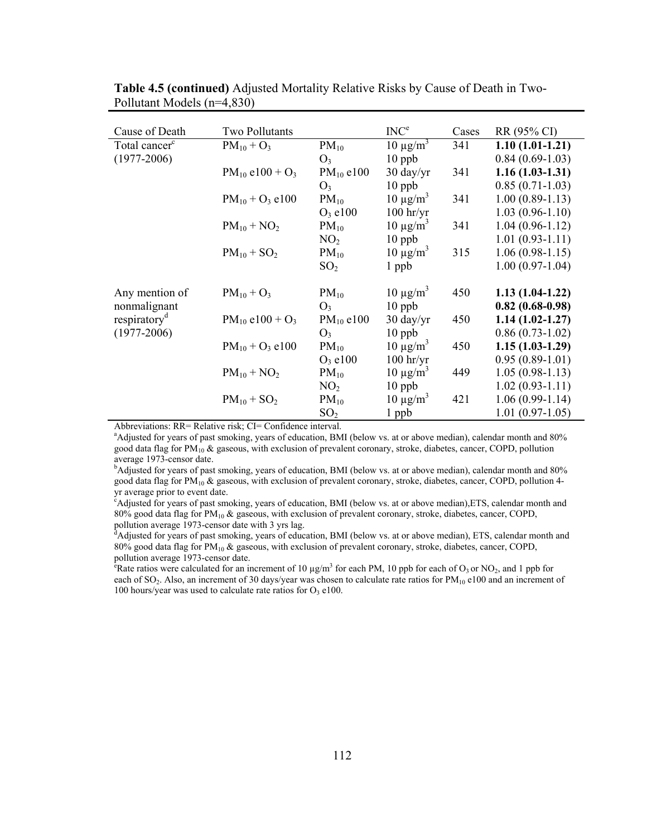| Cause of Death            | Two Pollutants                  |                 | INC <sup>e</sup>    | Cases | RR (95% CI)       |
|---------------------------|---------------------------------|-----------------|---------------------|-------|-------------------|
| Total cancer <sup>c</sup> | $PM_{10} + O_3$                 | $PM_{10}$       | $10 \mu g/m^3$      | 341   | $1.10(1.01-1.21)$ |
| $(1977 - 2006)$           |                                 | O <sub>3</sub>  | $10$ ppb            |       | $0.84(0.69-1.03)$ |
|                           | $PM_{10}$ e100 + O <sub>3</sub> | $PM_{10}$ e100  | $30 \frac{day}{yr}$ | 341   | $1.16(1.03-1.31)$ |
|                           |                                 | $O_3$           | $10$ ppb            |       | $0.85(0.71-1.03)$ |
|                           | $PM_{10} + O_3$ e100            | $PM_{10}$       | $10 \mu g/m^3$      | 341   | $1.00(0.89-1.13)$ |
|                           |                                 | $O_3$ e100      | $100$ hr/yr         |       | $1.03(0.96-1.10)$ |
|                           | $PM_{10} + NO_2$                | $PM_{10}$       | $10 \mu g/m^3$      | 341   | $1.04(0.96-1.12)$ |
|                           |                                 | NO <sub>2</sub> | $10$ ppb            |       | $1.01(0.93-1.11)$ |
|                           | $PM_{10} + SO_2$                | $PM_{10}$       | $10 \mu g/m^3$      | 315   | $1.06(0.98-1.15)$ |
|                           |                                 | SO <sub>2</sub> | 1 ppb               |       | $1.00(0.97-1.04)$ |
| Any mention of            | $PM_{10} + O_3$                 | $PM_{10}$       | $10 \mu g/m^3$      | 450   | $1.13(1.04-1.22)$ |
| nonmalignant              |                                 | $O_3$           | $10$ ppb            |       | $0.82(0.68-0.98)$ |
| respiratory <sup>d</sup>  | $PM_{10}$ e100 + O <sub>3</sub> | $PM_{10}$ e100  | $30 \frac{day}{yr}$ | 450   | $1.14(1.02-1.27)$ |
| $(1977 - 2006)$           |                                 | $O_3$           | $10$ ppb            |       | $0.86(0.73-1.02)$ |
|                           | $PM_{10} + O_3$ e100            | $PM_{10}$       | $10 \mu g/m^3$      | 450   | $1.15(1.03-1.29)$ |
|                           |                                 | $O_3$ e100      | $100$ hr/yr         |       | $0.95(0.89-1.01)$ |
|                           | $PM_{10} + NO_2$                | $PM_{10}$       | $10 \mu g/m^3$      | 449   | $1.05(0.98-1.13)$ |
|                           |                                 | NO <sub>2</sub> | $10$ ppb            |       | $1.02(0.93-1.11)$ |
|                           | $PM_{10} + SO_2$                | $PM_{10}$       | $10 \mu g/m^3$      | 421   | $1.06(0.99-1.14)$ |
|                           |                                 | SO <sub>2</sub> | 1 ppb               |       | $1.01(0.97-1.05)$ |

**Table 4.5 (continued)** Adjusted Mortality Relative Risks by Cause of Death in Two-Pollutant Models (n=4,830)

Abbreviations: RR= Relative risk; CI= Confidence interval.

<sup>a</sup>Adjusted for years of past smoking, years of education, BMI (below vs. at or above median), calendar month and 80% good data flag for PM10 & gaseous, with exclusion of prevalent coronary, stroke, diabetes, cancer, COPD, pollution average 1973-censor date.

<sup>b</sup>Adjusted for years of past smoking, years of education, BMI (below vs. at or above median), calendar month and 80% good data flag for  $PM_{10}$  & gaseous, with exclusion of prevalent coronary, stroke, diabetes, cancer, COPD, pollution 4yr average prior to event date.

<sup>2</sup>Adjusted for years of past smoking, years of education, BMI (below vs. at or above median), ETS, calendar month and 80% good data flag for  $PM_{10}$  & gaseous, with exclusion of prevalent coronary, stroke, diabetes, cancer, COPD, pollution average 1973-censor date with 3 yrs lag.<br><sup>d</sup>Adjusted for years of past smoking, years of education, BMI (below vs. at or above median), ETS, calendar month and

80% good data flag for  $PM_{10}$  & gaseous, with exclusion of prevalent coronary, stroke, diabetes, cancer, COPD, pollution average 1973-censor date.

<sup>e</sup> Rate ratios were calculated for an increment of 10  $\mu$ g/m<sup>3</sup> for each PM, 10 ppb for each of O<sub>3</sub> or NO<sub>2</sub>, and 1 ppb for each of SO<sub>2</sub>. Also, an increment of 30 days/year was chosen to calculate rate ratios for  $PM_{10}$  e100 and an increment of 100 hours/year was used to calculate rate ratios for  $O_3$  e100.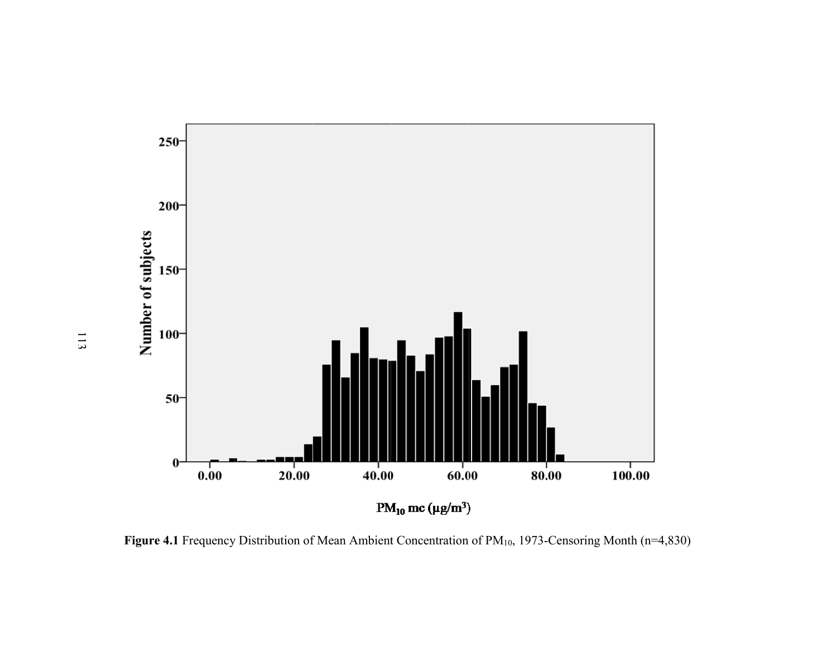

Figure 4.1 Frequency Distribution of Mean Ambient Concentration of PM<sub>10</sub>, 1973-Censoring Month (n=4,830)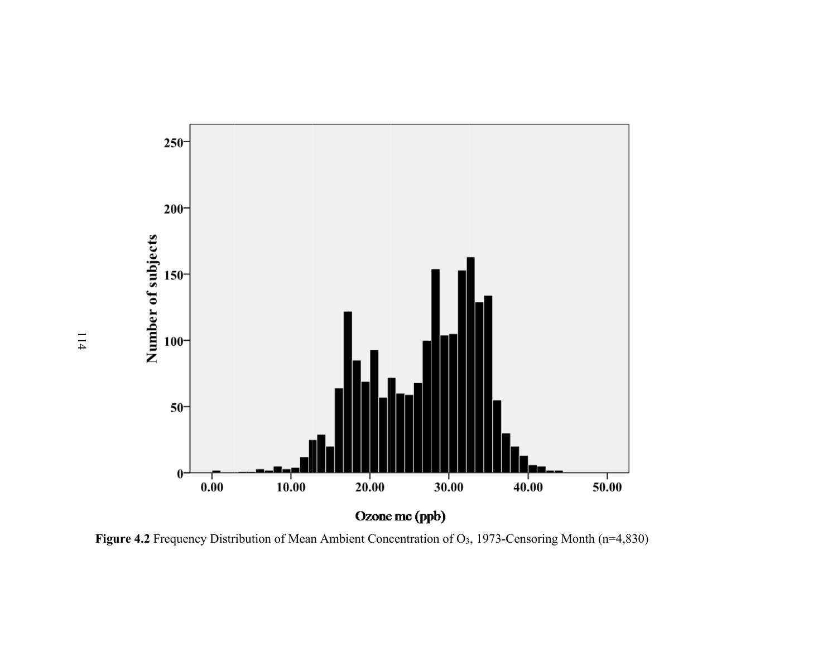

**Figure 4.2** Frequency Distribution of Mean Ambient Concentration of O3, 1973-Censoring Month (n=4,830)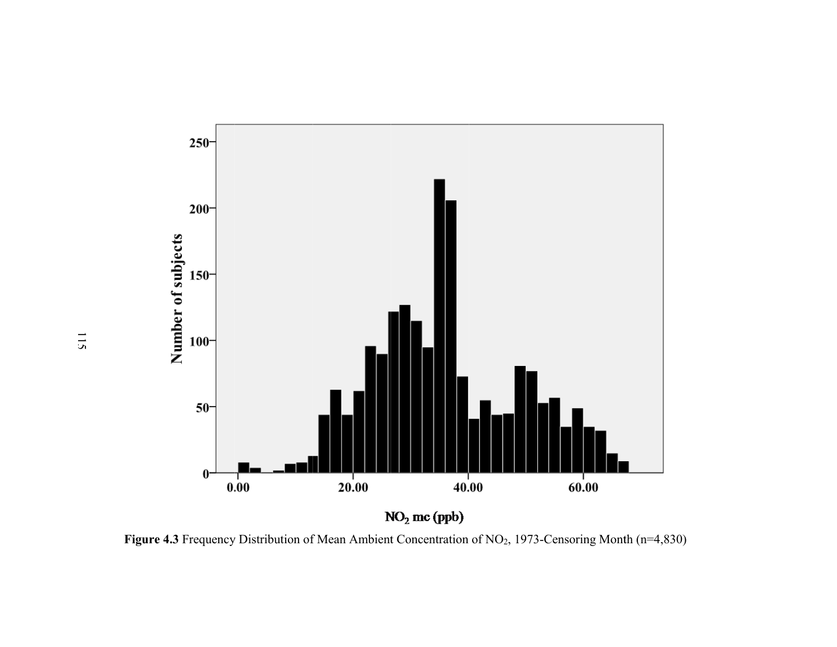

Figure 4.3 Frequency Distribution of Mean Ambient Concentration of NO<sub>2</sub>, 1973-Censoring Month (n=4,830)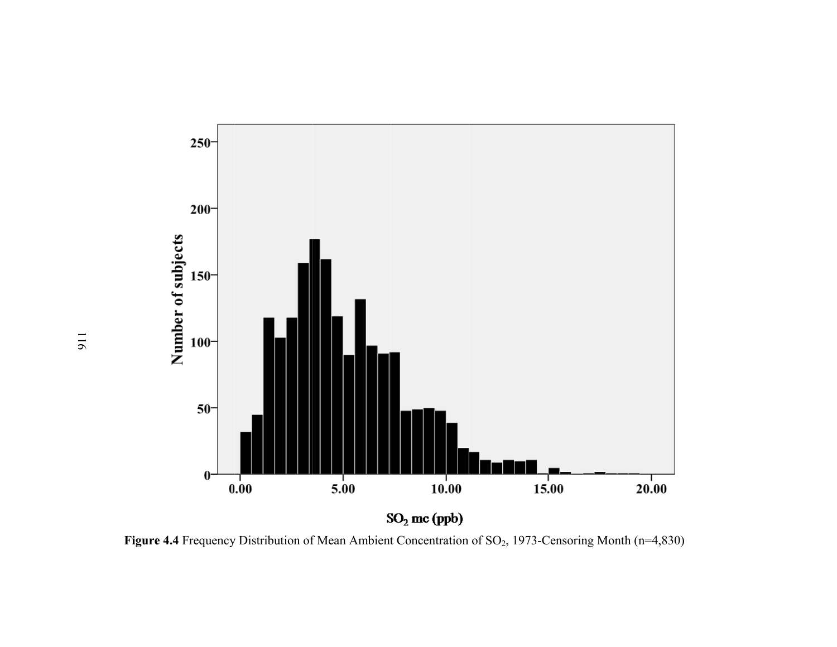

Figure 4.4 Frequency Distribution of Mean Ambient Concentration of SO<sub>2</sub>, 1973-Censoring Month (n=4,830)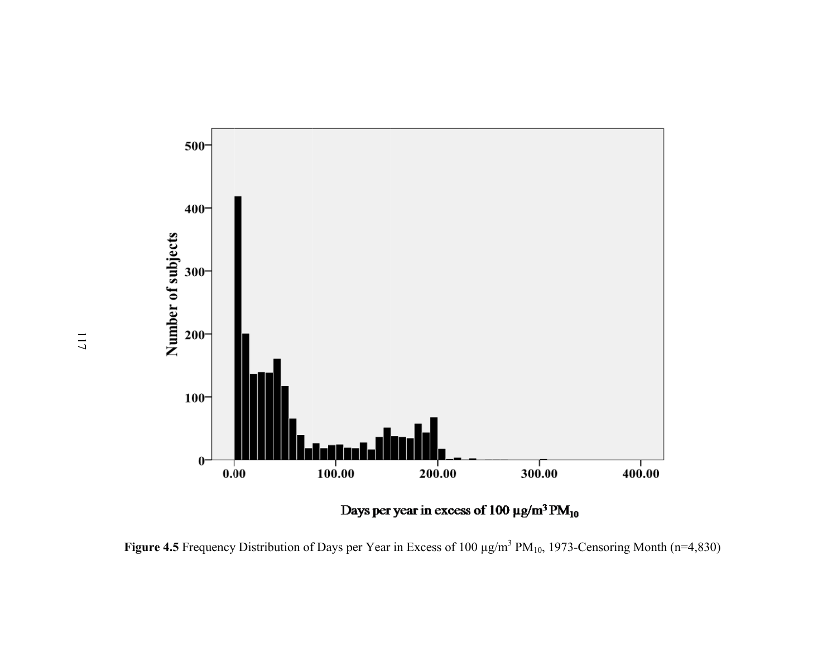

**Figure 4.5** Frequency Distribution of Days per Year in Excess of 100  $\mu$ g/m<sup>3</sup> PM<sub>10</sub>, 1973-Censoring Month (n=4,830)